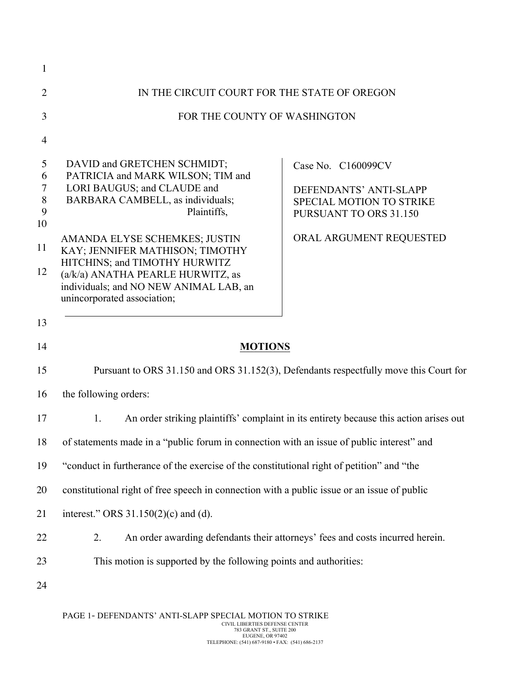| $\mathbf{1}$                                 |                                                                                                                                                                                                                                                                                                                                                                       |                                                                                                                               |  |  |  |
|----------------------------------------------|-----------------------------------------------------------------------------------------------------------------------------------------------------------------------------------------------------------------------------------------------------------------------------------------------------------------------------------------------------------------------|-------------------------------------------------------------------------------------------------------------------------------|--|--|--|
| $\overline{2}$                               | IN THE CIRCUIT COURT FOR THE STATE OF OREGON                                                                                                                                                                                                                                                                                                                          |                                                                                                                               |  |  |  |
| 3                                            | FOR THE COUNTY OF WASHINGTON                                                                                                                                                                                                                                                                                                                                          |                                                                                                                               |  |  |  |
| $\overline{4}$                               |                                                                                                                                                                                                                                                                                                                                                                       |                                                                                                                               |  |  |  |
| 5<br>6<br>$\tau$<br>8<br>9<br>10<br>11<br>12 | DAVID and GRETCHEN SCHMIDT;<br>PATRICIA and MARK WILSON; TIM and<br>LORI BAUGUS; and CLAUDE and<br>BARBARA CAMBELL, as individuals;<br>Plaintiffs,<br>AMANDA ELYSE SCHEMKES; JUSTIN<br>KAY; JENNIFER MATHISON; TIMOTHY<br>HITCHINS; and TIMOTHY HURWITZ<br>(a/k/a) ANATHA PEARLE HURWITZ, as<br>individuals; and NO NEW ANIMAL LAB, an<br>unincorporated association; | Case No. C160099CV<br>DEFENDANTS' ANTI-SLAPP<br>SPECIAL MOTION TO STRIKE<br>PURSUANT TO ORS 31.150<br>ORAL ARGUMENT REQUESTED |  |  |  |
| 13                                           |                                                                                                                                                                                                                                                                                                                                                                       |                                                                                                                               |  |  |  |
| 14                                           | <b>MOTIONS</b>                                                                                                                                                                                                                                                                                                                                                        |                                                                                                                               |  |  |  |
| 15                                           | Pursuant to ORS 31.150 and ORS 31.152(3), Defendants respectfully move this Court for                                                                                                                                                                                                                                                                                 |                                                                                                                               |  |  |  |
| 16                                           | the following orders:                                                                                                                                                                                                                                                                                                                                                 |                                                                                                                               |  |  |  |
| 17                                           | An order striking plaintiffs' complaint in its entirety because this action arises out<br>1.                                                                                                                                                                                                                                                                          |                                                                                                                               |  |  |  |
| 18                                           | of statements made in a "public forum in connection with an issue of public interest" and                                                                                                                                                                                                                                                                             |                                                                                                                               |  |  |  |
| 19                                           | "conduct in furtherance of the exercise of the constitutional right of petition" and "the                                                                                                                                                                                                                                                                             |                                                                                                                               |  |  |  |
| 20                                           | constitutional right of free speech in connection with a public issue or an issue of public                                                                                                                                                                                                                                                                           |                                                                                                                               |  |  |  |
| 21                                           | interest." ORS 31.150(2)(c) and (d).                                                                                                                                                                                                                                                                                                                                  |                                                                                                                               |  |  |  |
| 22                                           | An order awarding defendants their attorneys' fees and costs incurred herein.<br>2.                                                                                                                                                                                                                                                                                   |                                                                                                                               |  |  |  |
| 23                                           | This motion is supported by the following points and authorities:                                                                                                                                                                                                                                                                                                     |                                                                                                                               |  |  |  |
| 24                                           |                                                                                                                                                                                                                                                                                                                                                                       |                                                                                                                               |  |  |  |
|                                              |                                                                                                                                                                                                                                                                                                                                                                       |                                                                                                                               |  |  |  |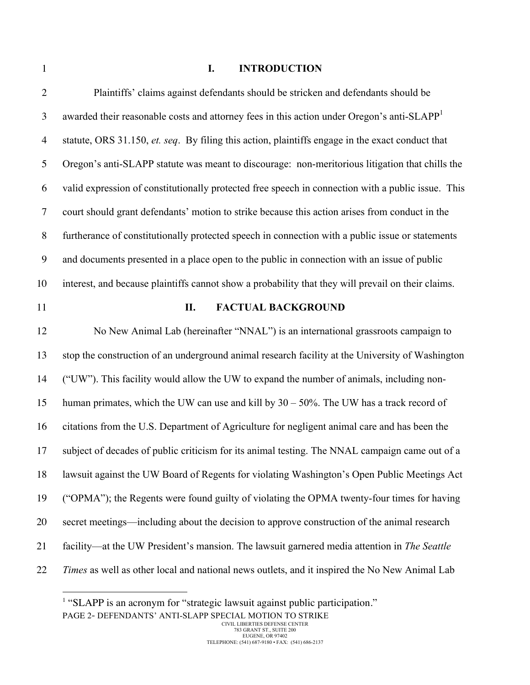# **I. INTRODUCTION**

| $\overline{2}$   | Plaintiffs' claims against defendants should be stricken and defendants should be                      |
|------------------|--------------------------------------------------------------------------------------------------------|
| 3                | awarded their reasonable costs and attorney fees in this action under Oregon's anti-SLAPP <sup>1</sup> |
| $\overline{4}$   | statute, ORS 31.150, et. seq. By filing this action, plaintiffs engage in the exact conduct that       |
| 5                | Oregon's anti-SLAPP statute was meant to discourage: non-meritorious litigation that chills the        |
| 6                | valid expression of constitutionally protected free speech in connection with a public issue. This     |
| $\tau$           | court should grant defendants' motion to strike because this action arises from conduct in the         |
| $8\phantom{.}$   | furtherance of constitutionally protected speech in connection with a public issue or statements       |
| $\boldsymbol{9}$ | and documents presented in a place open to the public in connection with an issue of public            |
| 10               | interest, and because plaintiffs cannot show a probability that they will prevail on their claims.     |
| 11               | <b>FACTUAL BACKGROUND</b><br>П.                                                                        |
| 12               | No New Animal Lab (hereinafter "NNAL") is an international grassroots campaign to                      |
| 13               | stop the construction of an underground animal research facility at the University of Washington       |
| 14               | ("UW"). This facility would allow the UW to expand the number of animals, including non-               |
| 15               | human primates, which the UW can use and kill by $30 - 50\%$ . The UW has a track record of            |
| 16               | citations from the U.S. Department of Agriculture for negligent animal care and has been the           |
| 17               | subject of decades of public criticism for its animal testing. The NNAL campaign came out of a         |
| 18               | lawsuit against the UW Board of Regents for violating Washington's Open Public Meetings Act            |
| 19               | ("OPMA"); the Regents were found guilty of violating the OPMA twenty-four times for having             |
| 20               | secret meetings—including about the decision to approve construction of the animal research            |
| 21               | facility—at the UW President's mansion. The lawsuit garnered media attention in The Seattle            |
| 22               | Times as well as other local and national news outlets, and it inspired the No New Animal Lab          |

PAGE 2- DEFENDANTS' ANTI-SLAPP SPECIAL MOTION TO STRIKE 1 "SLAPP is an acronym for "strategic lawsuit against public participation."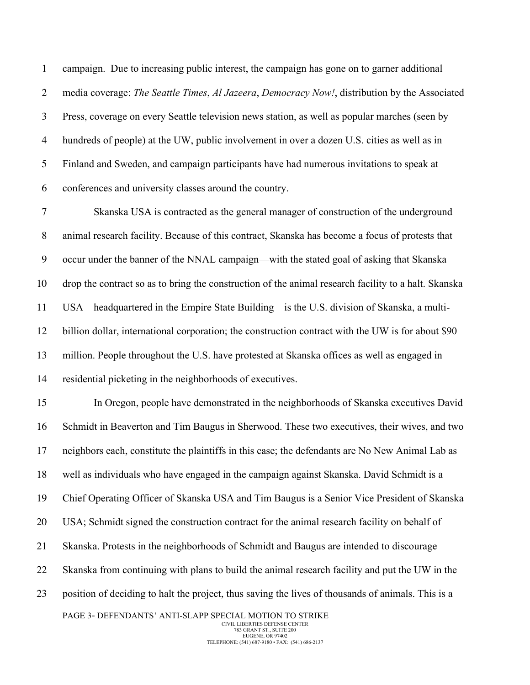campaign. Due to increasing public interest, the campaign has gone on to garner additional media coverage: *The Seattle Times*, *Al Jazeera*, *Democracy Now!*, distribution by the Associated Press, coverage on every Seattle television news station, as well as popular marches (seen by hundreds of people) at the UW, public involvement in over a dozen U.S. cities as well as in Finland and Sweden, and campaign participants have had numerous invitations to speak at conferences and university classes around the country.

 Skanska USA is contracted as the general manager of construction of the underground animal research facility. Because of this contract, Skanska has become a focus of protests that occur under the banner of the NNAL campaign—with the stated goal of asking that Skanska drop the contract so as to bring the construction of the animal research facility to a halt. Skanska USA—headquartered in the Empire State Building—is the U.S. division of Skanska, a multi- billion dollar, international corporation; the construction contract with the UW is for about \$90 million. People throughout the U.S. have protested at Skanska offices as well as engaged in residential picketing in the neighborhoods of executives.

PAGE 3- DEFENDANTS' ANTI-SLAPP SPECIAL MOTION TO STRIKE In Oregon, people have demonstrated in the neighborhoods of Skanska executives David Schmidt in Beaverton and Tim Baugus in Sherwood. These two executives, their wives, and two neighbors each, constitute the plaintiffs in this case; the defendants are No New Animal Lab as well as individuals who have engaged in the campaign against Skanska. David Schmidt is a Chief Operating Officer of Skanska USA and Tim Baugus is a Senior Vice President of Skanska USA; Schmidt signed the construction contract for the animal research facility on behalf of Skanska. Protests in the neighborhoods of Schmidt and Baugus are intended to discourage Skanska from continuing with plans to build the animal research facility and put the UW in the position of deciding to halt the project, thus saving the lives of thousands of animals. This is a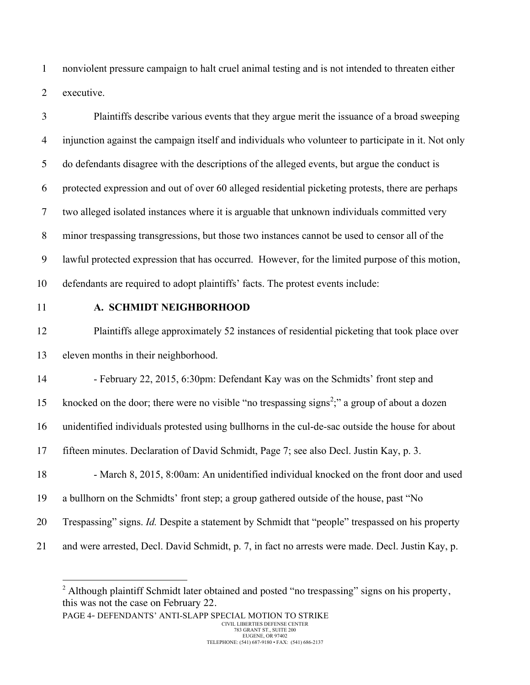nonviolent pressure campaign to halt cruel animal testing and is not intended to threaten either executive.

 Plaintiffs describe various events that they argue merit the issuance of a broad sweeping injunction against the campaign itself and individuals who volunteer to participate in it. Not only do defendants disagree with the descriptions of the alleged events, but argue the conduct is protected expression and out of over 60 alleged residential picketing protests, there are perhaps two alleged isolated instances where it is arguable that unknown individuals committed very minor trespassing transgressions, but those two instances cannot be used to censor all of the lawful protected expression that has occurred. However, for the limited purpose of this motion, defendants are required to adopt plaintiffs' facts. The protest events include:

#### **A. SCHMIDT NEIGHBORHOOD**

 Plaintiffs allege approximately 52 instances of residential picketing that took place over eleven months in their neighborhood.

14 - February 22, 2015, 6:30pm: Defendant Kay was on the Schmidts' front step and

15 knocked on the door; there were no visible "no trespassing signs<sup>2</sup>;" a group of about a dozen

unidentified individuals protested using bullhorns in the cul-de-sac outside the house for about

fifteen minutes. Declaration of David Schmidt, Page 7; see also Decl. Justin Kay, p. 3.

18 - March 8, 2015, 8:00am: An unidentified individual knocked on the front door and used a bullhorn on the Schmidts' front step; a group gathered outside of the house, past "No

Trespassing" signs. *Id.* Despite a statement by Schmidt that "people" trespassed on his property

and were arrested, Decl. David Schmidt, p. 7, in fact no arrests were made. Decl. Justin Kay, p.

<sup>&</sup>lt;sup>2</sup> Although plaintiff Schmidt later obtained and posted "no trespassing" signs on his property, this was not the case on February 22.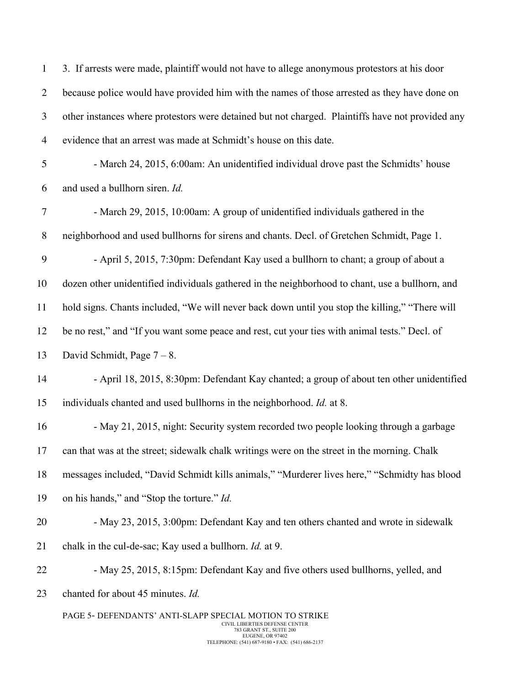| $\mathbf{1}$   | 3. If arrests were made, plaintiff would not have to allege anonymous protestors at his door                                                                                                 |  |  |  |  |
|----------------|----------------------------------------------------------------------------------------------------------------------------------------------------------------------------------------------|--|--|--|--|
| $\overline{2}$ | because police would have provided him with the names of those arrested as they have done on                                                                                                 |  |  |  |  |
| 3              | other instances where protestors were detained but not charged. Plaintiffs have not provided any                                                                                             |  |  |  |  |
| $\overline{4}$ | evidence that an arrest was made at Schmidt's house on this date.                                                                                                                            |  |  |  |  |
| 5              | - March 24, 2015, 6:00am: An unidentified individual drove past the Schmidts' house                                                                                                          |  |  |  |  |
| 6              | and used a bullhorn siren. Id.                                                                                                                                                               |  |  |  |  |
| $\tau$         | - March 29, 2015, 10:00am: A group of unidentified individuals gathered in the                                                                                                               |  |  |  |  |
| $8\,$          | neighborhood and used bullhorns for sirens and chants. Decl. of Gretchen Schmidt, Page 1.                                                                                                    |  |  |  |  |
| 9              | - April 5, 2015, 7:30pm: Defendant Kay used a bullhorn to chant; a group of about a                                                                                                          |  |  |  |  |
| 10             | dozen other unidentified individuals gathered in the neighborhood to chant, use a bullhorn, and                                                                                              |  |  |  |  |
| 11             | hold signs. Chants included, "We will never back down until you stop the killing," "There will                                                                                               |  |  |  |  |
| 12             | be no rest," and "If you want some peace and rest, cut your ties with animal tests." Decl. of                                                                                                |  |  |  |  |
| 13             | David Schmidt, Page $7 - 8$ .                                                                                                                                                                |  |  |  |  |
| 14             | - April 18, 2015, 8:30pm: Defendant Kay chanted; a group of about ten other unidentified                                                                                                     |  |  |  |  |
| 15             | individuals chanted and used bullhorns in the neighborhood. Id. at 8.                                                                                                                        |  |  |  |  |
| 16             | - May 21, 2015, night: Security system recorded two people looking through a garbage                                                                                                         |  |  |  |  |
| 17             | can that was at the street; sidewalk chalk writings were on the street in the morning. Chalk                                                                                                 |  |  |  |  |
| 18             | messages included, "David Schmidt kills animals," "Murderer lives here," "Schmidty has blood                                                                                                 |  |  |  |  |
| 19             | on his hands," and "Stop the torture." Id.                                                                                                                                                   |  |  |  |  |
| 20             | - May 23, 2015, 3:00pm: Defendant Kay and ten others chanted and wrote in sidewalk                                                                                                           |  |  |  |  |
| 21             | chalk in the cul-de-sac; Kay used a bullhorn. <i>Id.</i> at 9.                                                                                                                               |  |  |  |  |
| 22             | - May 25, 2015, 8:15pm: Defendant Kay and five others used bullhorns, yelled, and                                                                                                            |  |  |  |  |
| 23             | chanted for about 45 minutes. Id.                                                                                                                                                            |  |  |  |  |
|                | PAGE 5- DEFENDANTS' ANTI-SLAPP SPECIAL MOTION TO STRIKE<br>CIVIL LIBERTIES DEFENSE CENTER<br>783 GRANT ST., SUITE 200<br>EUGENE, OR 97402<br>TELEPHONE: (541) 687-9180 · FAX: (541) 686-2137 |  |  |  |  |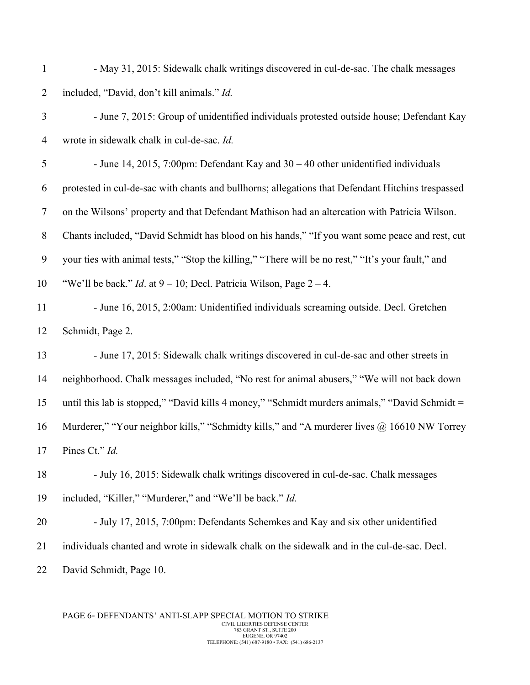| $\mathbf{1}$   | - May 31, 2015: Sidewalk chalk writings discovered in cul-de-sac. The chalk messages              |
|----------------|---------------------------------------------------------------------------------------------------|
| $\overline{2}$ | included, "David, don't kill animals." Id.                                                        |
| 3              | - June 7, 2015: Group of unidentified individuals protested outside house; Defendant Kay          |
| $\overline{4}$ | wrote in sidewalk chalk in cul-de-sac. Id.                                                        |
| $\mathfrak s$  | - June 14, 2015, 7:00pm: Defendant Kay and $30 - 40$ other unidentified individuals               |
| 6              | protested in cul-de-sac with chants and bullhorns; allegations that Defendant Hitchins trespassed |
| $\tau$         | on the Wilsons' property and that Defendant Mathison had an altercation with Patricia Wilson.     |
| $8\,$          | Chants included, "David Schmidt has blood on his hands," "If you want some peace and rest, cut    |
| 9              | your ties with animal tests," "Stop the killing," "There will be no rest," "It's your fault," and |
| 10             | "We'll be back." <i>Id.</i> at $9 - 10$ ; Decl. Patricia Wilson, Page $2 - 4$ .                   |
| 11             | - June 16, 2015, 2:00am: Unidentified individuals screaming outside. Decl. Gretchen               |
| 12             | Schmidt, Page 2.                                                                                  |
| 13             | - June 17, 2015: Sidewalk chalk writings discovered in cul-de-sac and other streets in            |
| 14             | neighborhood. Chalk messages included, "No rest for animal abusers," "We will not back down       |
| 15             | until this lab is stopped," "David kills 4 money," "Schmidt murders animals," "David Schmidt =    |
| 16             | Murderer," "Your neighbor kills," "Schmidty kills," and "A murderer lives @ 16610 NW Torrey       |
| 17             | Pines Ct." Id.                                                                                    |
| 18             | - July 16, 2015: Sidewalk chalk writings discovered in cul-de-sac. Chalk messages                 |
| 19             | included, "Killer," "Murderer," and "We'll be back." Id.                                          |
| 20             | - July 17, 2015, 7:00pm: Defendants Schemkes and Kay and six other unidentified                   |
| 21             | individuals chanted and wrote in sidewalk chalk on the sidewalk and in the cul-de-sac. Decl.      |
| 22             | David Schmidt, Page 10.                                                                           |

PAGE 6- DEFENDANTS' ANTI-SLAPP SPECIAL MOTION TO STRIKE CIVIL LIBERTIES DEFENSE CENTER 783 GRANT ST., SUITE 200 EUGENE, OR 97402 TELEPHONE: (541) 687-9180 • FAX: (541) 686-2137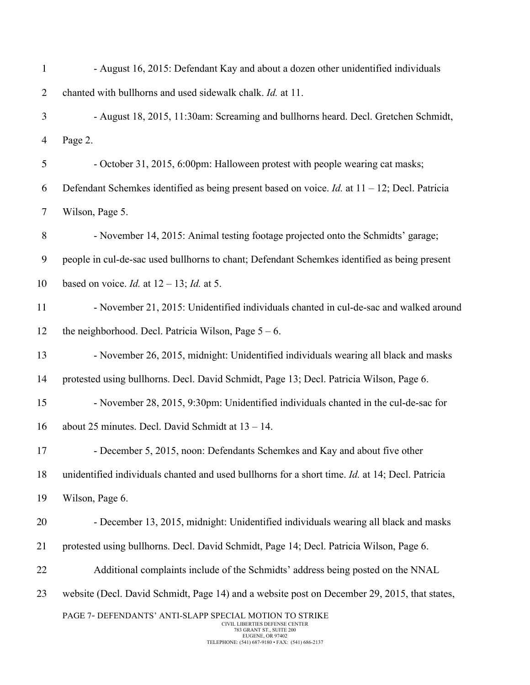| $\mathbf{1}$   | - August 16, 2015: Defendant Kay and about a dozen other unidentified individuals                                                                                                            |
|----------------|----------------------------------------------------------------------------------------------------------------------------------------------------------------------------------------------|
| $\overline{2}$ | chanted with bullhorns and used sidewalk chalk. Id. at 11.                                                                                                                                   |
| 3              | - August 18, 2015, 11:30am: Screaming and bullhorns heard. Decl. Gretchen Schmidt,                                                                                                           |
| 4              | Page 2.                                                                                                                                                                                      |
| 5              | - October 31, 2015, 6:00pm: Halloween protest with people wearing cat masks;                                                                                                                 |
| 6              | Defendant Schemkes identified as being present based on voice. <i>Id.</i> at $11 - 12$ ; Decl. Patricia                                                                                      |
| $\tau$         | Wilson, Page 5.                                                                                                                                                                              |
| 8              | - November 14, 2015: Animal testing footage projected onto the Schmidts' garage;                                                                                                             |
| 9              | people in cul-de-sac used bullhorns to chant; Defendant Schemkes identified as being present                                                                                                 |
| 10             | based on voice. <i>Id.</i> at $12 - 13$ ; <i>Id.</i> at 5.                                                                                                                                   |
| 11             | - November 21, 2015: Unidentified individuals chanted in cul-de-sac and walked around                                                                                                        |
| 12             | the neighborhood. Decl. Patricia Wilson, Page $5 - 6$ .                                                                                                                                      |
| 13             | - November 26, 2015, midnight: Unidentified individuals wearing all black and masks                                                                                                          |
| 14             | protested using bullhorns. Decl. David Schmidt, Page 13; Decl. Patricia Wilson, Page 6.                                                                                                      |
| 15             | - November 28, 2015, 9:30pm: Unidentified individuals chanted in the cul-de-sac for                                                                                                          |
| 16             | about 25 minutes. Decl. David Schmidt at $13 - 14$ .                                                                                                                                         |
| 17             | - December 5, 2015, noon: Defendants Schemkes and Kay and about five other                                                                                                                   |
| 18             | unidentified individuals chanted and used bullhorns for a short time. Id. at 14; Decl. Patricia                                                                                              |
| 19             | Wilson, Page 6.                                                                                                                                                                              |
| 20             | - December 13, 2015, midnight: Unidentified individuals wearing all black and masks                                                                                                          |
| 21             | protested using bullhorns. Decl. David Schmidt, Page 14; Decl. Patricia Wilson, Page 6.                                                                                                      |
| 22             | Additional complaints include of the Schmidts' address being posted on the NNAL                                                                                                              |
| 23             | website (Decl. David Schmidt, Page 14) and a website post on December 29, 2015, that states,                                                                                                 |
|                | PAGE 7- DEFENDANTS' ANTI-SLAPP SPECIAL MOTION TO STRIKE<br>CIVIL LIBERTIES DEFENSE CENTER<br>783 GRANT ST., SUITE 200<br>EUGENE, OR 97402<br>TELEPHONE: (541) 687-9180 · FAX: (541) 686-2137 |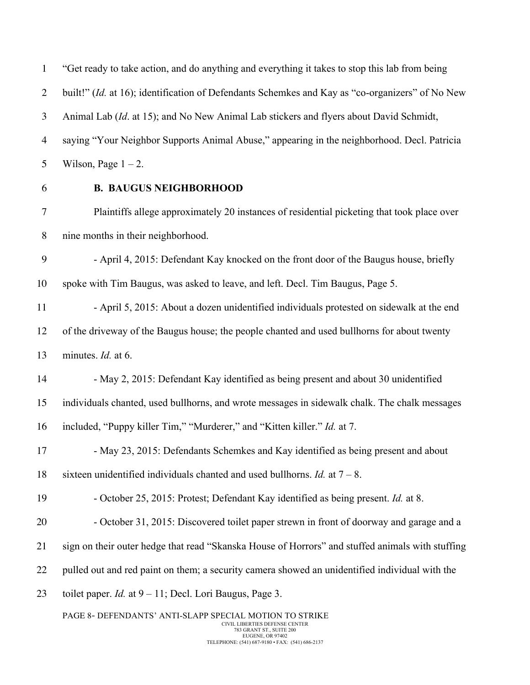"Get ready to take action, and do anything and everything it takes to stop this lab from being built!" (*Id.* at 16); identification of Defendants Schemkes and Kay as "co-organizers" of No New Animal Lab (*Id*. at 15); and No New Animal Lab stickers and flyers about David Schmidt, saying "Your Neighbor Supports Animal Abuse," appearing in the neighborhood. Decl. Patricia 5 Wilson, Page  $1 - 2$ .

## **B. BAUGUS NEIGHBORHOOD**

 Plaintiffs allege approximately 20 instances of residential picketing that took place over nine months in their neighborhood.

 - April 4, 2015: Defendant Kay knocked on the front door of the Baugus house, briefly spoke with Tim Baugus, was asked to leave, and left. Decl. Tim Baugus, Page 5.

11 - April 5, 2015: About a dozen unidentified individuals protested on sidewalk at the end of the driveway of the Baugus house; the people chanted and used bullhorns for about twenty minutes. *Id.* at 6.

 - May 2, 2015: Defendant Kay identified as being present and about 30 unidentified individuals chanted, used bullhorns, and wrote messages in sidewalk chalk. The chalk messages

included, "Puppy killer Tim," "Murderer," and "Kitten killer." *Id.* at 7.

17 - May 23, 2015: Defendants Schemkes and Kay identified as being present and about sixteen unidentified individuals chanted and used bullhorns. *Id.* at 7 – 8.

- October 25, 2015: Protest; Defendant Kay identified as being present. *Id.* at 8.
- October 31, 2015: Discovered toilet paper strewn in front of doorway and garage and a
- sign on their outer hedge that read "Skanska House of Horrors" and stuffed animals with stuffing
- pulled out and red paint on them; a security camera showed an unidentified individual with the
- toilet paper. *Id.* at 9 11; Decl. Lori Baugus, Page 3.

PAGE 8- DEFENDANTS' ANTI-SLAPP SPECIAL MOTION TO STRIKE CIVIL LIBERTIES DEFENSE CENTER 783 GRANT ST., SUITE 200 EUGENE, OR 97402 TELEPHONE: (541) 687-9180 • FAX: (541) 686-2137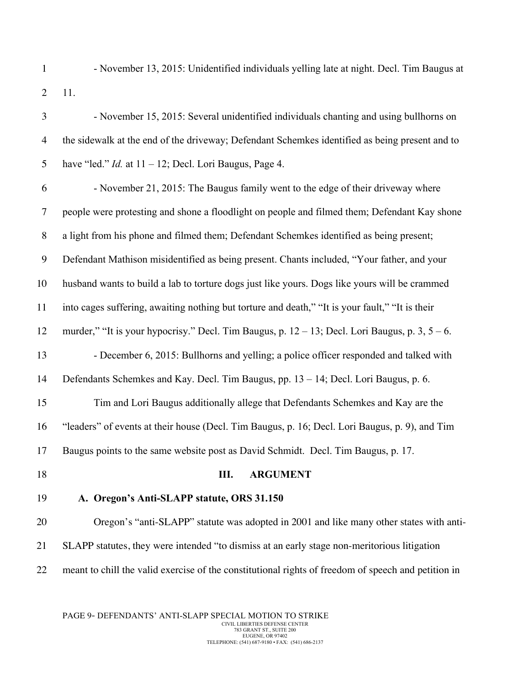- November 13, 2015: Unidentified individuals yelling late at night. Decl. Tim Baugus at 11.
- November 15, 2015: Several unidentified individuals chanting and using bullhorns on the sidewalk at the end of the driveway; Defendant Schemkes identified as being present and to have "led." *Id.* at 11 – 12; Decl. Lori Baugus, Page 4. - November 21, 2015: The Baugus family went to the edge of their driveway where people were protesting and shone a floodlight on people and filmed them; Defendant Kay shone a light from his phone and filmed them; Defendant Schemkes identified as being present; Defendant Mathison misidentified as being present. Chants included, "Your father, and your husband wants to build a lab to torture dogs just like yours. Dogs like yours will be crammed into cages suffering, awaiting nothing but torture and death," "It is your fault," "It is their murder," "It is your hypocrisy." Decl. Tim Baugus, p. 12 – 13; Decl. Lori Baugus, p. 3, 5 – 6. - December 6, 2015: Bullhorns and yelling; a police officer responded and talked with Defendants Schemkes and Kay. Decl. Tim Baugus, pp. 13 – 14; Decl. Lori Baugus, p. 6. Tim and Lori Baugus additionally allege that Defendants Schemkes and Kay are the "leaders" of events at their house (Decl. Tim Baugus, p. 16; Decl. Lori Baugus, p. 9), and Tim Baugus points to the same website post as David Schmidt. Decl. Tim Baugus, p. 17. **III. ARGUMENT A. Oregon's Anti-SLAPP statute, ORS 31.150** Oregon's "anti-SLAPP" statute was adopted in 2001 and like many other states with anti- SLAPP statutes, they were intended "to dismiss at an early stage non-meritorious litigation meant to chill the valid exercise of the constitutional rights of freedom of speech and petition in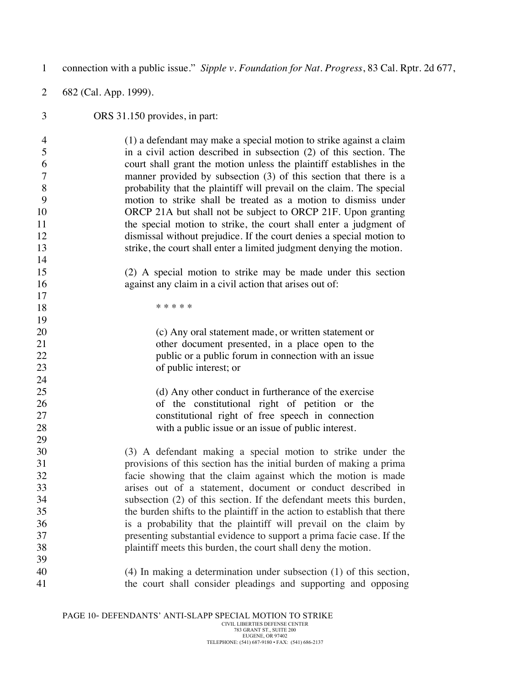| $\mathbf{1}$   | connection with a public issue." Sipple v. Foundation for Nat. Progress, 83 Cal. Rptr. 2d 677, |  |  |  |  |
|----------------|------------------------------------------------------------------------------------------------|--|--|--|--|
| $\overline{2}$ | 682 (Cal. App. 1999).                                                                          |  |  |  |  |
| 3              | ORS 31.150 provides, in part:                                                                  |  |  |  |  |
| $\overline{4}$ | (1) a defendant may make a special motion to strike against a claim                            |  |  |  |  |
| 5              | in a civil action described in subsection (2) of this section. The                             |  |  |  |  |
| 6              | court shall grant the motion unless the plaintiff establishes in the                           |  |  |  |  |
| $\overline{7}$ | manner provided by subsection (3) of this section that there is a                              |  |  |  |  |
| 8              | probability that the plaintiff will prevail on the claim. The special                          |  |  |  |  |
| 9              | motion to strike shall be treated as a motion to dismiss under                                 |  |  |  |  |
| 10             | ORCP 21A but shall not be subject to ORCP 21F. Upon granting                                   |  |  |  |  |
| 11             | the special motion to strike, the court shall enter a judgment of                              |  |  |  |  |
| 12             | dismissal without prejudice. If the court denies a special motion to                           |  |  |  |  |
| 13             | strike, the court shall enter a limited judgment denying the motion.                           |  |  |  |  |
| 14             |                                                                                                |  |  |  |  |
| 15             | (2) A special motion to strike may be made under this section                                  |  |  |  |  |
| 16             | against any claim in a civil action that arises out of:                                        |  |  |  |  |
| 17             |                                                                                                |  |  |  |  |
| 18             | * * * * *                                                                                      |  |  |  |  |
| 19             |                                                                                                |  |  |  |  |
| 20             | (c) Any oral statement made, or written statement or                                           |  |  |  |  |
| 21             | other document presented, in a place open to the                                               |  |  |  |  |
| 22             | public or a public forum in connection with an issue                                           |  |  |  |  |
| 23             | of public interest; or                                                                         |  |  |  |  |
| 24             |                                                                                                |  |  |  |  |
| 25             | (d) Any other conduct in furtherance of the exercise                                           |  |  |  |  |
| 26             | of the constitutional right of petition or the                                                 |  |  |  |  |
| 27             | constitutional right of free speech in connection                                              |  |  |  |  |
| 28             | with a public issue or an issue of public interest.                                            |  |  |  |  |
| 29             |                                                                                                |  |  |  |  |
| 30             | (3) A defendant making a special motion to strike under the                                    |  |  |  |  |
| 31             | provisions of this section has the initial burden of making a prima                            |  |  |  |  |
| 32             | facie showing that the claim against which the motion is made                                  |  |  |  |  |
| 33             | arises out of a statement, document or conduct described in                                    |  |  |  |  |
| 34             | subsection (2) of this section. If the defendant meets this burden,                            |  |  |  |  |
| 35             | the burden shifts to the plaintiff in the action to establish that there                       |  |  |  |  |
| 36             | is a probability that the plaintiff will prevail on the claim by                               |  |  |  |  |
| 37             | presenting substantial evidence to support a prima facie case. If the                          |  |  |  |  |
| 38             | plaintiff meets this burden, the court shall deny the motion.                                  |  |  |  |  |
| 39             |                                                                                                |  |  |  |  |
| 40             | $(4)$ In making a determination under subsection $(1)$ of this section,                        |  |  |  |  |
| 41             | the court shall consider pleadings and supporting and opposing                                 |  |  |  |  |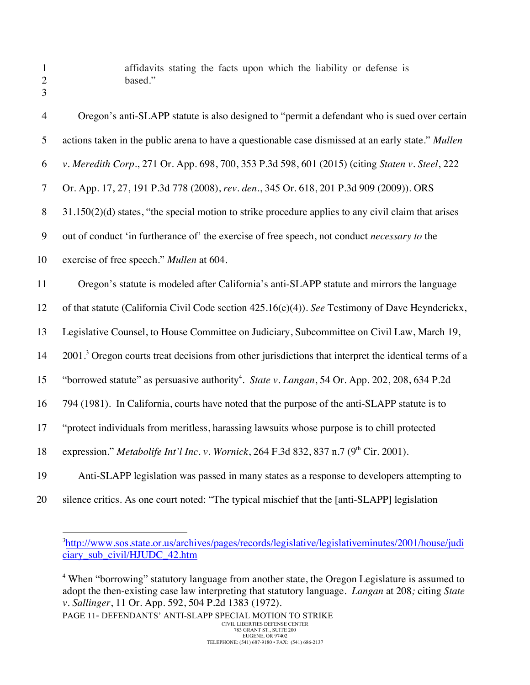affidavits stating the facts upon which the liability or defense is based."

| 3              |                                                                                                                   |
|----------------|-------------------------------------------------------------------------------------------------------------------|
| $\overline{4}$ | Oregon's anti-SLAPP statute is also designed to "permit a defendant who is sued over certain                      |
| 5              | actions taken in the public arena to have a questionable case dismissed at an early state." Mullen                |
| 6              | v. Meredith Corp., 271 Or. App. 698, 700, 353 P.3d 598, 601 (2015) (citing Staten v. Steel, 222                   |
| $\tau$         | Or. App. 17, 27, 191 P.3d 778 (2008), rev. den., 345 Or. 618, 201 P.3d 909 (2009)). ORS                           |
| 8              | $31.150(2)(d)$ states, "the special motion to strike procedure applies to any civil claim that arises             |
| 9              | out of conduct 'in furtherance of' the exercise of free speech, not conduct <i>necessary to</i> the               |
| 10             | exercise of free speech." Mullen at 604.                                                                          |
| 11             | Oregon's statute is modeled after California's anti-SLAPP statute and mirrors the language                        |
| 12             | of that statute (California Civil Code section 425.16(e)(4)). See Testimony of Dave Heynderickx,                  |
| 13             | Legislative Counsel, to House Committee on Judiciary, Subcommittee on Civil Law, March 19,                        |
| 14             | 2001. <sup>3</sup> Oregon courts treat decisions from other jurisdictions that interpret the identical terms of a |
| 15             | "borrowed statute" as persuasive authority <sup>4</sup> . State v. Langan, 54 Or. App. 202, 208, 634 P.2d         |
| 16             | 794 (1981). In California, courts have noted that the purpose of the anti-SLAPP statute is to                     |
| 17             | "protect individuals from meritless, harassing lawsuits whose purpose is to chill protected                       |
| 18             | expression." Metabolife Int'l Inc. v. Wornick, 264 F.3d 832, 837 n.7 ( $9th$ Cir. 2001).                          |
| 19             | Anti-SLAPP legislation was passed in many states as a response to developers attempting to                        |
|                |                                                                                                                   |

silence critics. As one court noted: "The typical mischief that the [anti-SLAPP] legislation

<sup>4</sup> When "borrowing" statutory language from another state, the Oregon Legislature is assumed to adopt the then-existing case law interpreting that statutory language. *Langan* at 208*;* citing *State v. Sallinger*, 11 Or. App. 592, 504 P.2d 1383 (1972).

 $\frac{1}{3}$ <sup>3</sup>http://www.sos.state.or.us/archives/pages/records/legislative/legislativeminutes/2001/house/judi ciary\_sub\_civil/HJUDC\_42.htm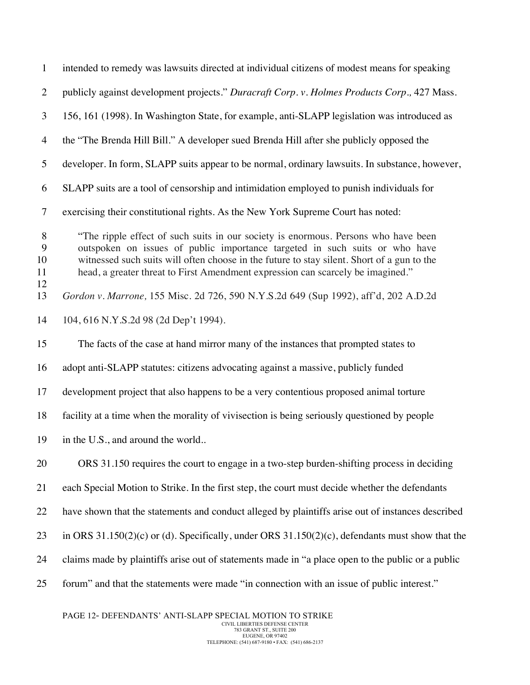| $\mathbf{1}$             | intended to remedy was lawsuits directed at individual citizens of modest means for speaking                                                                                                                                                                                                                                                       |  |  |  |
|--------------------------|----------------------------------------------------------------------------------------------------------------------------------------------------------------------------------------------------------------------------------------------------------------------------------------------------------------------------------------------------|--|--|--|
| $\overline{2}$           | publicly against development projects." Duracraft Corp. v. Holmes Products Corp., 427 Mass.                                                                                                                                                                                                                                                        |  |  |  |
| 3                        | 156, 161 (1998). In Washington State, for example, anti-SLAPP legislation was introduced as                                                                                                                                                                                                                                                        |  |  |  |
| $\overline{4}$           | the "The Brenda Hill Bill." A developer sued Brenda Hill after she publicly opposed the                                                                                                                                                                                                                                                            |  |  |  |
| 5                        | developer. In form, SLAPP suits appear to be normal, ordinary lawsuits. In substance, however,                                                                                                                                                                                                                                                     |  |  |  |
| 6                        | SLAPP suits are a tool of censorship and intimidation employed to punish individuals for                                                                                                                                                                                                                                                           |  |  |  |
| $\tau$                   | exercising their constitutional rights. As the New York Supreme Court has noted:                                                                                                                                                                                                                                                                   |  |  |  |
| 8<br>9<br>10<br>11<br>12 | "The ripple effect of such suits in our society is enormous. Persons who have been<br>outspoken on issues of public importance targeted in such suits or who have<br>witnessed such suits will often choose in the future to stay silent. Short of a gun to the<br>head, a greater threat to First Amendment expression can scarcely be imagined." |  |  |  |
| 13                       | Gordon v. Marrone, 155 Misc. 2d 726, 590 N.Y.S.2d 649 (Sup 1992), aff'd, 202 A.D.2d                                                                                                                                                                                                                                                                |  |  |  |
| 14                       | 104, 616 N.Y.S.2d 98 (2d Dep't 1994).                                                                                                                                                                                                                                                                                                              |  |  |  |
| 15                       | The facts of the case at hand mirror many of the instances that prompted states to                                                                                                                                                                                                                                                                 |  |  |  |
| 16                       | adopt anti-SLAPP statutes: citizens advocating against a massive, publicly funded                                                                                                                                                                                                                                                                  |  |  |  |
| 17                       | development project that also happens to be a very contentious proposed animal torture                                                                                                                                                                                                                                                             |  |  |  |
| 18                       | facility at a time when the morality of vivisection is being seriously questioned by people                                                                                                                                                                                                                                                        |  |  |  |
| 19                       | in the U.S., and around the world                                                                                                                                                                                                                                                                                                                  |  |  |  |
| 20                       | ORS 31.150 requires the court to engage in a two-step burden-shifting process in deciding                                                                                                                                                                                                                                                          |  |  |  |
| 21                       | each Special Motion to Strike. In the first step, the court must decide whether the defendants                                                                                                                                                                                                                                                     |  |  |  |
| 22                       | have shown that the statements and conduct alleged by plaintiffs arise out of instances described                                                                                                                                                                                                                                                  |  |  |  |
| 23                       | in ORS $31.150(2)(c)$ or (d). Specifically, under ORS $31.150(2)(c)$ , defendants must show that the                                                                                                                                                                                                                                               |  |  |  |
| 24                       | claims made by plaintiffs arise out of statements made in "a place open to the public or a public                                                                                                                                                                                                                                                  |  |  |  |
| 25                       | forum" and that the statements were made "in connection with an issue of public interest."                                                                                                                                                                                                                                                         |  |  |  |
|                          |                                                                                                                                                                                                                                                                                                                                                    |  |  |  |

PAGE 12- DEFENDANTS' ANTI-SLAPP SPECIAL MOTION TO STRIKE CIVIL LIBERTIES DEFENSE CENTER 783 GRANT ST., SUITE 200 EUGENE, OR 97402 TELEPHONE: (541) 687-9180 • FAX: (541) 686-2137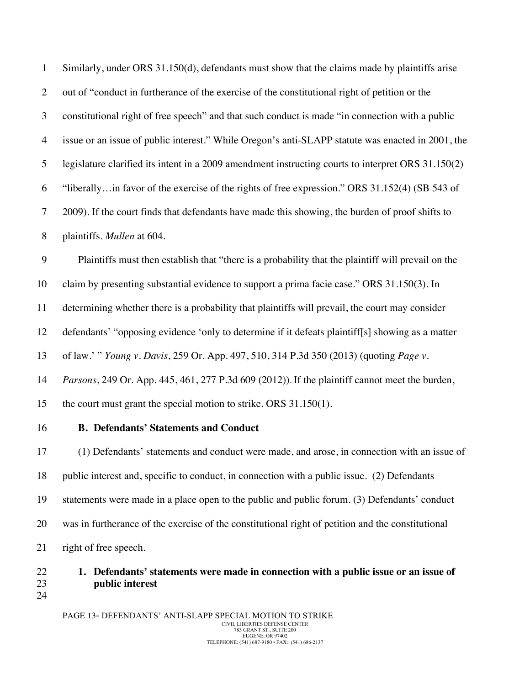| $\mathbf{1}$ | Similarly, under ORS 31.150(d), defendants must show that the claims made by plaintiffs arise      |
|--------------|----------------------------------------------------------------------------------------------------|
| 2            | out of "conduct in furtherance of the exercise of the constitutional right of petition or the      |
| 3            | constitutional right of free speech" and that such conduct is made "in connection with a public    |
| 4            | issue or an issue of public interest." While Oregon's anti-SLAPP statute was enacted in 2001, the  |
| 5            | legislature clarified its intent in a 2009 amendment instructing courts to interpret ORS 31.150(2) |
| 6            | "liberallyin favor of the exercise of the rights of free expression." ORS 31.152(4) (SB 543 of     |
| 7            | 2009). If the court finds that defendants have made this showing, the burden of proof shifts to    |
| 8            | plaintiffs. Mullen at 604.                                                                         |
| 9            | Plaintiffs must then establish that "there is a probability that the plaintiff will prevail on the |
| 10           | claim by presenting substantial evidence to support a prima facie case." ORS 31.150(3). In         |
| 11           | determining whether there is a probability that plaintiffs will prevail, the court may consider    |

defendants' "opposing evidence 'only to determine if it defeats plaintiff[s] showing as a matter

of law.' " *Young v. Davis*, 259 Or. App. 497, 510, 314 P.3d 350 (2013) (quoting *Page v.* 

*Parsons*, 249 Or. App. 445, 461, 277 P.3d 609 (2012)). If the plaintiff cannot meet the burden,

the court must grant the special motion to strike. ORS 31.150(1).

## **B. Defendants' Statements and Conduct**

 (1) Defendants' statements and conduct were made, and arose, in connection with an issue of public interest and, specific to conduct, in connection with a public issue. (2) Defendants statements were made in a place open to the public and public forum. (3) Defendants' conduct was in furtherance of the exercise of the constitutional right of petition and the constitutional right of free speech.

# **1. Defendants' statements were made in connection with a public issue or an issue of public interest**

PAGE 13- DEFENDANTS' ANTI-SLAPP SPECIAL MOTION TO STRIKE CIVIL LIBERTIES DEFENSE CENTER 783 GRANT ST., SUITE 200 EUGENE, OR 97402 TELEPHONE: (541) 687-9180 • FAX: (541) 686-2137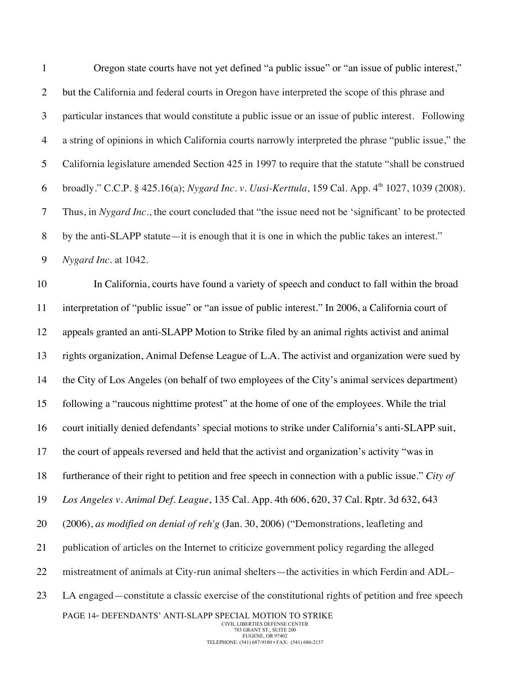| $\mathbf{1}$     | Oregon state courts have not yet defined "a public issue" or "an issue of public interest,"                                                                                                   |  |  |  |
|------------------|-----------------------------------------------------------------------------------------------------------------------------------------------------------------------------------------------|--|--|--|
| $\overline{2}$   | but the California and federal courts in Oregon have interpreted the scope of this phrase and                                                                                                 |  |  |  |
| $\mathfrak{Z}$   | particular instances that would constitute a public issue or an issue of public interest. Following                                                                                           |  |  |  |
| $\overline{4}$   | a string of opinions in which California courts narrowly interpreted the phrase "public issue," the                                                                                           |  |  |  |
| 5                | California legislature amended Section 425 in 1997 to require that the statute "shall be construed                                                                                            |  |  |  |
| 6                | broadly." C.C.P. § 425.16(a); Nygard Inc. v. Uusi-Kerttula, 159 Cal. App. 4 <sup>th</sup> 1027, 1039 (2008).                                                                                  |  |  |  |
| $\tau$           | Thus, in Nygard Inc., the court concluded that "the issue need not be 'significant' to be protected                                                                                           |  |  |  |
| $8\,$            | by the anti-SLAPP statute—it is enough that it is one in which the public takes an interest."                                                                                                 |  |  |  |
| $\boldsymbol{9}$ | Nygard Inc. at 1042.                                                                                                                                                                          |  |  |  |
| 10               | In California, courts have found a variety of speech and conduct to fall within the broad                                                                                                     |  |  |  |
| 11               | interpretation of "public issue" or "an issue of public interest." In 2006, a California court of                                                                                             |  |  |  |
| 12               | appeals granted an anti-SLAPP Motion to Strike filed by an animal rights activist and animal                                                                                                  |  |  |  |
| 13               | rights organization, Animal Defense League of L.A. The activist and organization were sued by                                                                                                 |  |  |  |
| 14               | the City of Los Angeles (on behalf of two employees of the City's animal services department)                                                                                                 |  |  |  |
| 15               | following a "raucous nighttime protest" at the home of one of the employees. While the trial                                                                                                  |  |  |  |
| 16               | court initially denied defendants' special motions to strike under California's anti-SLAPP suit,                                                                                              |  |  |  |
| 17               | the court of appeals reversed and held that the activist and organization's activity "was in                                                                                                  |  |  |  |
| 18               | furtherance of their right to petition and free speech in connection with a public issue." City of                                                                                            |  |  |  |
| 19               | Los Angeles v. Animal Def. League, 135 Cal. App. 4th 606, 620, 37 Cal. Rptr. 3d 632, 643                                                                                                      |  |  |  |
| 20               | (2006), as modified on denial of reh'g (Jan. 30, 2006) ("Demonstrations, leafleting and                                                                                                       |  |  |  |
| 21               | publication of articles on the Internet to criticize government policy regarding the alleged                                                                                                  |  |  |  |
| 22               | mistreatment of animals at City-run animal shelters—the activities in which Ferdin and ADL-                                                                                                   |  |  |  |
| 23               | LA engaged—constitute a classic exercise of the constitutional rights of petition and free speech                                                                                             |  |  |  |
|                  | PAGE 14- DEFENDANTS' ANTI-SLAPP SPECIAL MOTION TO STRIKE<br>CIVIL LIBERTIES DEFENSE CENTER<br>783 GRANT ST., SUITE 200<br>EUGENE, OR 97402<br>TELEPHONE: (541) 687-9180 · FAX: (541) 686-2137 |  |  |  |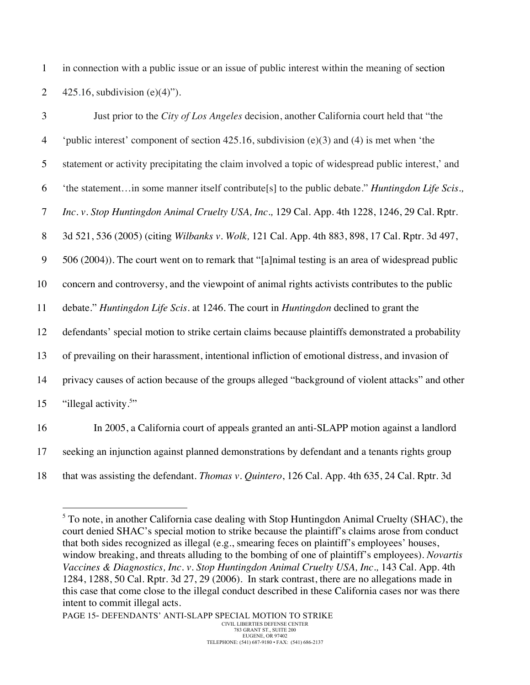1 in connection with a public issue or an issue of public interest within the meaning of section 2  $425.16$ , subdivision (e)(4)").

| 3              | Just prior to the City of Los Angeles decision, another California court held that "the                 |
|----------------|---------------------------------------------------------------------------------------------------------|
| $\overline{4}$ | 'public interest' component of section 425.16, subdivision $(e)(3)$ and $(4)$ is met when 'the          |
| 5              | statement or activity precipitating the claim involved a topic of widespread public interest,' and      |
| 6              | 'the statementin some manner itself contribute[s] to the public debate." <i>Huntingdon Life Scis.</i> , |
| $\overline{7}$ | Inc. v. Stop Huntingdon Animal Cruelty USA, Inc., 129 Cal. App. 4th 1228, 1246, 29 Cal. Rptr.           |
| 8              | 3d 521, 536 (2005) (citing Wilbanks v. Wolk, 121 Cal. App. 4th 883, 898, 17 Cal. Rptr. 3d 497,          |
| 9              | 506 (2004)). The court went on to remark that "[a]nimal testing is an area of widespread public         |
| 10             | concern and controversy, and the viewpoint of animal rights activists contributes to the public         |
| 11             | debate." Huntingdon Life Scis. at 1246. The court in Huntingdon declined to grant the                   |
| 12             | defendants' special motion to strike certain claims because plaintiffs demonstrated a probability       |
| 13             | of prevailing on their harassment, intentional infliction of emotional distress, and invasion of        |
| 14             | privacy causes of action because of the groups alleged "background of violent attacks" and other        |
| 15             | "illegal activity. <sup>5</sup> "                                                                       |
| 16             | In 2005, a California court of appeals granted an anti-SLAPP motion against a landlord                  |

17 seeking an injunction against planned demonstrations by defendant and a tenants rights group

18 that was assisting the defendant. *Thomas v. Quintero*, 126 Cal. App. 4th 635, 24 Cal. Rptr. 3d

 $<sup>5</sup>$  To note, in another California case dealing with Stop Huntingdon Animal Cruelty (SHAC), the</sup> court denied SHAC's special motion to strike because the plaintiff's claims arose from conduct that both sides recognized as illegal (e.g., smearing feces on plaintiff's employees' houses, window breaking, and threats alluding to the bombing of one of plaintiff's employees). *Novartis Vaccines & Diagnostics, Inc. v. Stop Huntingdon Animal Cruelty USA, Inc.,* 143 Cal. App. 4th 1284, 1288, 50 Cal. Rptr. 3d 27, 29 (2006). In stark contrast, there are no allegations made in this case that come close to the illegal conduct described in these California cases nor was there intent to commit illegal acts.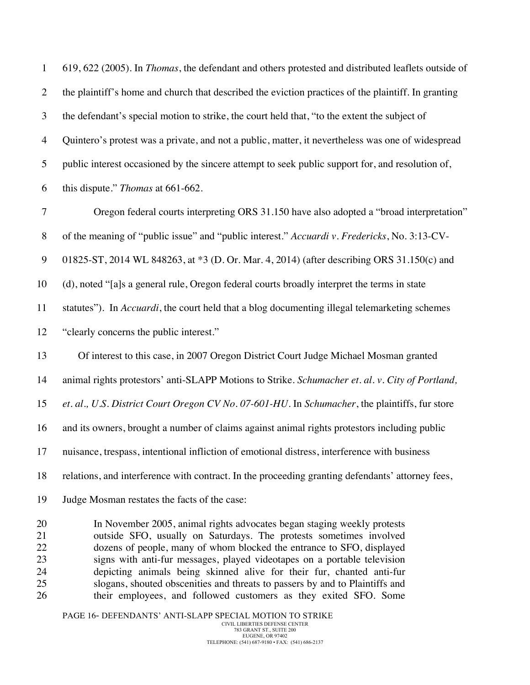619, 622 (2005). In *Thomas*, the defendant and others protested and distributed leaflets outside of the plaintiff's home and church that described the eviction practices of the plaintiff. In granting the defendant's special motion to strike, the court held that, "to the extent the subject of Quintero's protest was a private, and not a public, matter, it nevertheless was one of widespread public interest occasioned by the sincere attempt to seek public support for, and resolution of, this dispute." *Thomas* at 661-662.

 Oregon federal courts interpreting ORS 31.150 have also adopted a "broad interpretation" of the meaning of "public issue" and "public interest." *Accuardi v. Fredericks*, No. 3:13-CV-

01825-ST, 2014 WL 848263, at \*3 (D. Or. Mar. 4, 2014) (after describing ORS 31.150(c) and

(d), noted "[a]s a general rule, Oregon federal courts broadly interpret the terms in state

 statutes"). In *Accuardi*, the court held that a blog documenting illegal telemarketing schemes "clearly concerns the public interest."

Of interest to this case, in 2007 Oregon District Court Judge Michael Mosman granted

animal rights protestors' anti-SLAPP Motions to Strike. *Schumacher et. al. v. City of Portland,* 

*et. al., U.S. District Court Oregon CV No. 07-601-HU*. In *Schumacher*, the plaintiffs, fur store

and its owners, brought a number of claims against animal rights protestors including public

nuisance, trespass, intentional infliction of emotional distress, interference with business

relations, and interference with contract. In the proceeding granting defendants' attorney fees,

Judge Mosman restates the facts of the case:

 In November 2005, animal rights advocates began staging weekly protests outside SFO, usually on Saturdays. The protests sometimes involved dozens of people, many of whom blocked the entrance to SFO, displayed signs with anti-fur messages, played videotapes on a portable television depicting animals being skinned alive for their fur, chanted anti-fur slogans, shouted obscenities and threats to passers by and to Plaintiffs and their employees, and followed customers as they exited SFO. Some

PAGE 16- DEFENDANTS' ANTI-SLAPP SPECIAL MOTION TO STRIKE CIVIL LIBERTIES DEFENSE CENTER 783 GRANT ST., SUITE 200 EUGENE, OR 97402 TELEPHONE: (541) 687-9180 • FAX: (541) 686-2137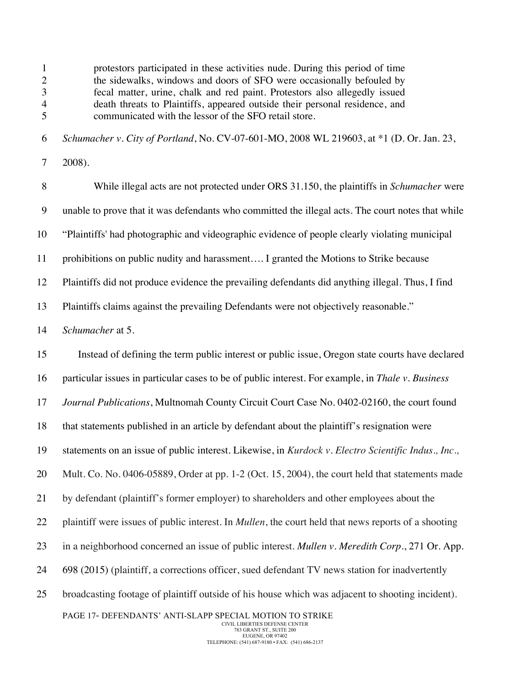PAGE 17- DEFENDANTS' ANTI-SLAPP SPECIAL MOTION TO STRIKE 2 the sidewalks, windows and doors of SFO were occasionally befouled by fecal matter, urine, chalk and red paint. Protestors also allegedly issued death threats to Plaintiffs, appeared outside their personal residence, and communicated with the lessor of the SFO retail store. *Schumacher v. City of Portland*, No. CV-07-601-MO, 2008 WL 219603, at \*1 (D. Or. Jan. 23, 2008). While illegal acts are not protected under ORS 31.150, the plaintiffs in *Schumacher* were unable to prove that it was defendants who committed the illegal acts. The court notes that while "Plaintiffs' had photographic and videographic evidence of people clearly violating municipal prohibitions on public nudity and harassment…. I granted the Motions to Strike because Plaintiffs did not produce evidence the prevailing defendants did anything illegal. Thus, I find Plaintiffs claims against the prevailing Defendants were not objectively reasonable." *Schumacher* at 5. Instead of defining the term public interest or public issue, Oregon state courts have declared particular issues in particular cases to be of public interest. For example, in *Thale v. Business Journal Publications*, Multnomah County Circuit Court Case No. 0402-02160, the court found that statements published in an article by defendant about the plaintiff's resignation were statements on an issue of public interest. Likewise, in *Kurdock v. Electro Scientific Indus., Inc.,* Mult. Co. No. 0406-05889, Order at pp. 1-2 (Oct. 15, 2004), the court held that statements made by defendant (plaintiff's former employer) to shareholders and other employees about the plaintiff were issues of public interest. In *Mullen*, the court held that news reports of a shooting in a neighborhood concerned an issue of public interest. *Mullen v. Meredith Corp.*, 271 Or. App. 24 698 (2015) (plaintiff, a corrections officer, sued defendant TV news station for inadvertently broadcasting footage of plaintiff outside of his house which was adjacent to shooting incident).

protestors participated in these activities nude. During this period of time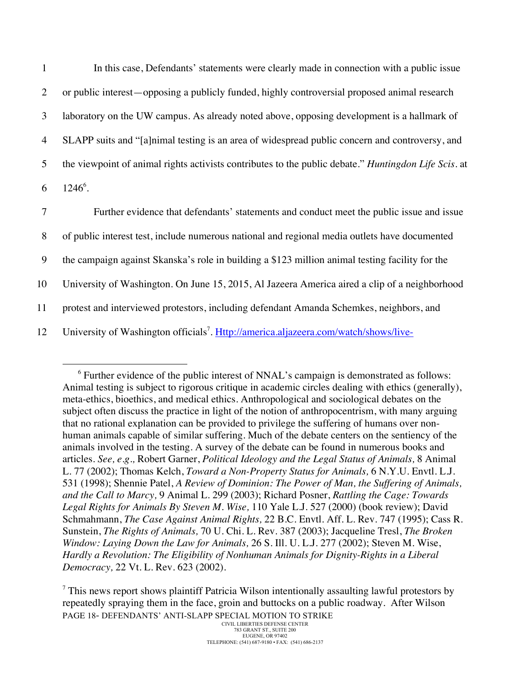In this case, Defendants' statements were clearly made in connection with a public issue or public interest—opposing a publicly funded, highly controversial proposed animal research laboratory on the UW campus. As already noted above, opposing development is a hallmark of SLAPP suits and "[a]nimal testing is an area of widespread public concern and controversy, and the viewpoint of animal rights activists contributes to the public debate." *Huntingdon Life Scis.* at  $6 \quad 1246^6$ .

 Further evidence that defendants' statements and conduct meet the public issue and issue of public interest test, include numerous national and regional media outlets have documented the campaign against Skanska's role in building a \$123 million animal testing facility for the University of Washington. On June 15, 2015, Al Jazeera America aired a clip of a neighborhood protest and interviewed protestors, including defendant Amanda Schemkes, neighbors, and 12 University of Washington officials<sup>7</sup>. Http://america.aljazeera.com/watch/shows/live-

<sup>&</sup>lt;sup>6</sup> Further evidence of the public interest of NNAL's campaign is demonstrated as follows: Animal testing is subject to rigorous critique in academic circles dealing with ethics (generally), meta-ethics, bioethics, and medical ethics. Anthropological and sociological debates on the subject often discuss the practice in light of the notion of anthropocentrism, with many arguing that no rational explanation can be provided to privilege the suffering of humans over nonhuman animals capable of similar suffering. Much of the debate centers on the sentiency of the animals involved in the testing. A survey of the debate can be found in numerous books and articles. *See, e.g.,* Robert Garner, *Political Ideology and the Legal Status of Animals,* 8 Animal L. 77 (2002); Thomas Kelch, *Toward a Non-Property Status for Animals,* 6 N.Y.U. Envtl. L.J. 531 (1998); Shennie Patel, *A Review of Dominion: The Power of Man, the Suffering of Animals, and the Call to Marcy,* 9 Animal L. 299 (2003); Richard Posner, *Rattling the Cage: Towards Legal Rights for Animals By Steven M. Wise,* 110 Yale L.J. 527 (2000) (book review); David Schmahmann, *The Case Against Animal Rights,* 22 B.C. Envtl. Aff. L. Rev. 747 (1995); Cass R. Sunstein, *The Rights of Animals,* 70 U. Chi. L. Rev. 387 (2003); Jacqueline Tresl, *The Broken Window: Laying Down the Law for Animals,* 26 S. Ill. U. L.J. 277 (2002); Steven M. Wise, *Hardly a Revolution: The Eligibility of Nonhuman Animals for Dignity-Rights in a Liberal Democracy,* 22 Vt. L. Rev. 623 (2002).

PAGE 18- DEFENDANTS' ANTI-SLAPP SPECIAL MOTION TO STRIKE <sup>7</sup> This news report shows plaintiff Patricia Wilson intentionally assaulting lawful protestors by repeatedly spraying them in the face, groin and buttocks on a public roadway. After Wilson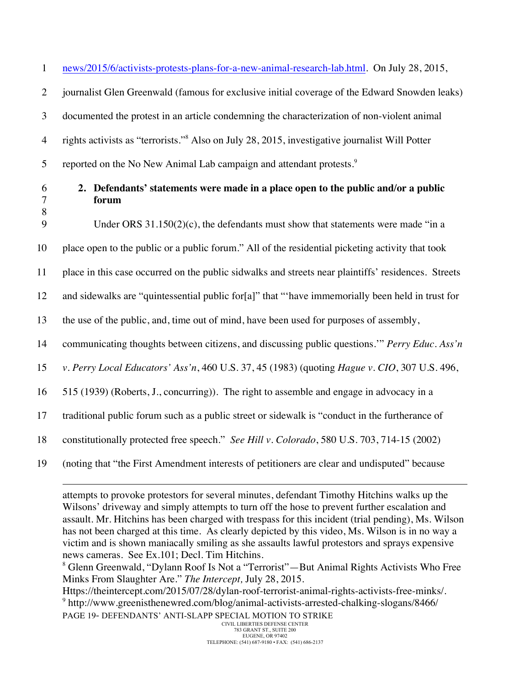1 news/2015/6/activists-protests-plans-for-a-new-animal-research-lab.html. On July 28, 2015,

2 journalist Glen Greenwald (famous for exclusive initial coverage of the Edward Snowden leaks)

3 documented the protest in an article condemning the characterization of non-violent animal

rights activists as "terrorists."<sup>8</sup> 4 Also on July 28, 2015, investigative journalist Will Potter

5 reported on the No New Animal Lab campaign and attendant protests. $\frac{9}{2}$ 

|  |  | ł. |
|--|--|----|

8

-

# 6 **2. Defendants' statements were made in a place open to the public and/or a public**  7 **forum**

9 Under ORS 31.150(2)(c), the defendants must show that statements were made "in a

10 place open to the public or a public forum." All of the residential picketing activity that took

11 place in this case occurred on the public sidwalks and streets near plaintiffs' residences. Streets

12 and sidewalks are "quintessential public for[a]" that "'have immemorially been held in trust for

13 the use of the public, and, time out of mind, have been used for purposes of assembly,

14 communicating thoughts between citizens, and discussing public questions.'" *Perry Educ. Ass'n* 

15 *v. Perry Local Educators' Ass'n*, 460 U.S. 37, 45 (1983) (quoting *Hague v. CIO*, 307 U.S. 496,

16 515 (1939) (Roberts, J., concurring)). The right to assemble and engage in advocacy in a

17 traditional public forum such as a public street or sidewalk is "conduct in the furtherance of

18 constitutionally protected free speech." *See Hill v. Colorado*, 580 U.S. 703, 714-15 (2002)

19 (noting that "the First Amendment interests of petitioners are clear and undisputed" because

attempts to provoke protestors for several minutes, defendant Timothy Hitchins walks up the Wilsons' driveway and simply attempts to turn off the hose to prevent further escalation and assault. Mr. Hitchins has been charged with trespass for this incident (trial pending), Ms. Wilson has not been charged at this time. As clearly depicted by this video, Ms. Wilson is in no way a victim and is shown maniacally smiling as she assaults lawful protestors and sprays expensive news cameras. See Ex.101; Decl. Tim Hitchins.

<sup>8</sup> Glenn Greenwald, "Dylann Roof Is Not a "Terrorist"—But Animal Rights Activists Who Free Minks From Slaughter Are." *The Intercept,* July 28, 2015.

PAGE 19- DEFENDANTS' ANTI-SLAPP SPECIAL MOTION TO STRIKE Https://theintercept.com/2015/07/28/dylan-roof-terrorist-animal-rights-activists-free-minks/. <sup>9</sup> http://www.greenisthenewred.com/blog/animal-activists-arrested-chalking-slogans/8466/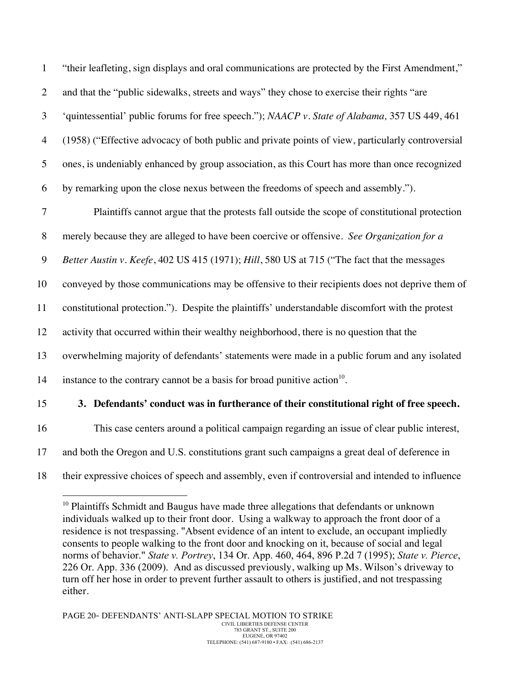"their leafleting, sign displays and oral communications are protected by the First Amendment," 2 and that the "public sidewalks, streets and ways" they chose to exercise their rights "are 'quintessential' public forums for free speech."); *NAACP v. State of Alabama,* 357 US 449, 461 (1958) ("Effective advocacy of both public and private points of view, particularly controversial ones, is undeniably enhanced by group association, as this Court has more than once recognized by remarking upon the close nexus between the freedoms of speech and assembly.").

7 Plaintiffs cannot argue that the protests fall outside the scope of constitutional protection

8 merely because they are alleged to have been coercive or offensive. *See Organization for a* 

9 *Better Austin v. Keefe*, 402 US 415 (1971); *Hill*, 580 US at 715 ("The fact that the messages

10 conveyed by those communications may be offensive to their recipients does not deprive them of

11 constitutional protection."). Despite the plaintiffs' understandable discomfort with the protest

12 activity that occurred within their wealthy neighborhood, there is no question that the

13 overwhelming majority of defendants' statements were made in a public forum and any isolated

14 instance to the contrary cannot be a basis for broad punitive action<sup>10</sup>.

# 15 **3. Defendants' conduct was in furtherance of their constitutional right of free speech.**

16 This case centers around a political campaign regarding an issue of clear public interest,

- 17 and both the Oregon and U.S. constitutions grant such campaigns a great deal of deference in
- 18 their expressive choices of speech and assembly, even if controversial and intended to influence

 $10$  Plaintiffs Schmidt and Baugus have made three allegations that defendants or unknown individuals walked up to their front door. Using a walkway to approach the front door of a residence is not trespassing. "Absent evidence of an intent to exclude, an occupant impliedly consents to people walking to the front door and knocking on it, because of social and legal norms of behavior." *State v. Portrey*, 134 Or. App. 460, 464, 896 P.2d 7 (1995); *State v. Pierce*, 226 Or. App. 336 (2009). And as discussed previously, walking up Ms. Wilson's driveway to turn off her hose in order to prevent further assault to others is justified, and not trespassing either.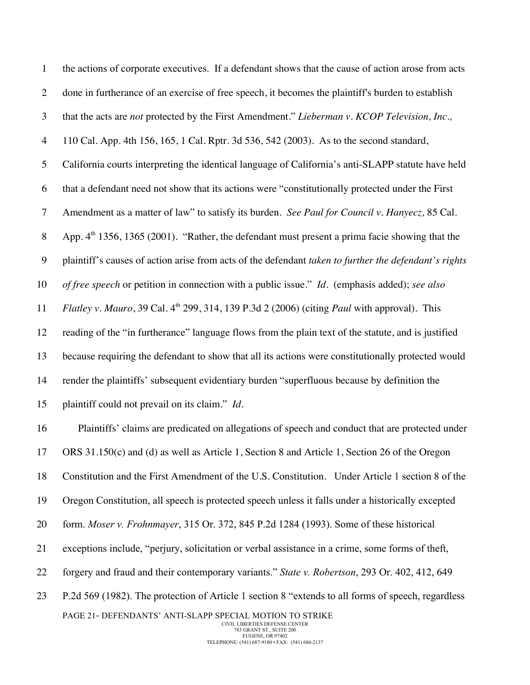| $\mathbf{1}$     | the actions of corporate executives. If a defendant shows that the cause of action arose from acts           |
|------------------|--------------------------------------------------------------------------------------------------------------|
| $\overline{2}$   | done in furtherance of an exercise of free speech, it becomes the plaintiff's burden to establish            |
| 3                | that the acts are not protected by the First Amendment." Lieberman v. KCOP Television, Inc.,                 |
| $\overline{4}$   | 110 Cal. App. 4th 156, 165, 1 Cal. Rptr. 3d 536, 542 (2003). As to the second standard,                      |
| 5                | California courts interpreting the identical language of California's anti-SLAPP statute have held           |
| 6                | that a defendant need not show that its actions were "constitutionally protected under the First             |
| $\tau$           | Amendment as a matter of law" to satisfy its burden. See Paul for Council v. Hanyecz, 85 Cal.                |
| $8\,$            | App. $4th$ 1356, 1365 (2001). "Rather, the defendant must present a prima facie showing that the             |
| $\boldsymbol{9}$ | plaintiff's causes of action arise from acts of the defendant taken to further the defendant's rights        |
| 10               | of free speech or petition in connection with a public issue." Id. (emphasis added); see also                |
| 11               | <i>Flatley v. Mauro</i> , 39 Cal. $4th$ 299, 314, 139 P.3d 2 (2006) (citing <i>Paul</i> with approval). This |
| 12               | reading of the "in furtherance" language flows from the plain text of the statute, and is justified          |
| 13               | because requiring the defendant to show that all its actions were constitutionally protected would           |
| 14               | render the plaintiffs' subsequent evidentiary burden "superfluous because by definition the                  |
| 15               | plaintiff could not prevail on its claim." Id.                                                               |
| 16               | Plaintiffs' claims are predicated on allegations of speech and conduct that are protected under              |
| 17               | ORS 31.150(c) and (d) as well as Article 1, Section 8 and Article 1, Section 26 of the Oregon                |
| 18               | Constitution and the First Amendment of the U.S. Constitution. Under Article 1 section 8 of the              |
| 19               | Oregon Constitution, all speech is protected speech unless it falls under a historically excepted            |
| 20               | form. Moser v. Frohnmayer, 315 Or. 372, 845 P.2d 1284 (1993). Some of these historical                       |
| 21               | exceptions include, "perjury, solicitation or verbal assistance in a crime, some forms of theft,             |
| 22               | forgery and fraud and their contemporary variants." State v. Robertson, 293 Or. 402, 412, 649                |
| 23               | P.2d 569 (1982). The protection of Article 1 section 8 "extends to all forms of speech, regardless           |
|                  | PAGE 21- DEFENDANTS' ANTI-SLAPP SPECIAL MOTION TO STRIKE<br>CIVIL LIBERTIES DEFENSE CENTER                   |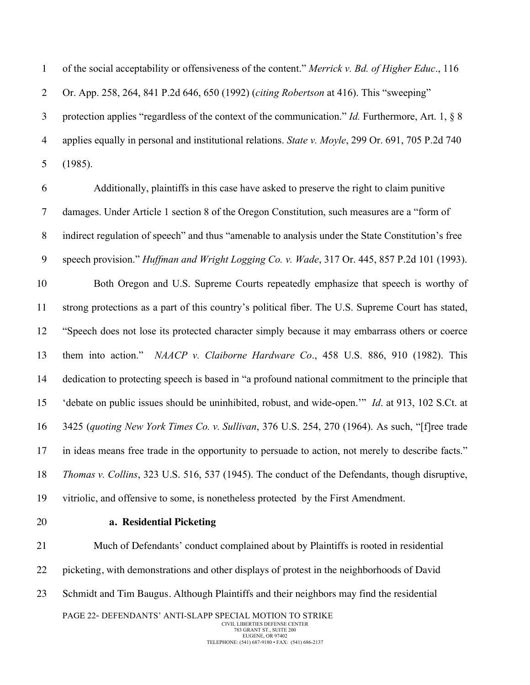of the social acceptability or offensiveness of the content." *Merrick v. Bd. of Higher Educ*., 116 Or. App. 258, 264, 841 P.2d 646, 650 (1992) (*citing Robertson* at 416). This "sweeping" protection applies "regardless of the context of the communication." *Id.* Furthermore, Art. 1, § 8 applies equally in personal and institutional relations. *State v. Moyle*, 299 Or. 691, 705 P.2d 740 (1985).

 Additionally, plaintiffs in this case have asked to preserve the right to claim punitive damages. Under Article 1 section 8 of the Oregon Constitution, such measures are a "form of indirect regulation of speech" and thus "amenable to analysis under the State Constitution's free speech provision." *Huffman and Wright Logging Co. v. Wade*, 317 Or. 445, 857 P.2d 101 (1993). Both Oregon and U.S. Supreme Courts repeatedly emphasize that speech is worthy of strong protections as a part of this country's political fiber. The U.S. Supreme Court has stated, "Speech does not lose its protected character simply because it may embarrass others or coerce them into action." *NAACP v. Claiborne Hardware Co*., 458 U.S. 886, 910 (1982). This dedication to protecting speech is based in "a profound national commitment to the principle that 'debate on public issues should be uninhibited, robust, and wide-open.'" *Id*. at 913, 102 S.Ct. at 3425 (*quoting New York Times Co. v. Sullivan*, 376 U.S. 254, 270 (1964). As such, "[f]ree trade in ideas means free trade in the opportunity to persuade to action, not merely to describe facts." *Thomas v. Collins*, 323 U.S. 516, 537 (1945). The conduct of the Defendants, though disruptive, vitriolic, and offensive to some, is nonetheless protected by the First Amendment.

## **a. Residential Picketing**

PAGE 22- DEFENDANTS' ANTI-SLAPP SPECIAL MOTION TO STRIKE CIVIL LIBERTIES DEFENSE CENTER Much of Defendants' conduct complained about by Plaintiffs is rooted in residential picketing, with demonstrations and other displays of protest in the neighborhoods of David Schmidt and Tim Baugus. Although Plaintiffs and their neighbors may find the residential

783 GRANT ST., SUITE 200 EUGENE, OR 97402 TELEPHONE: (541) 687-9180 • FAX: (541) 686-2137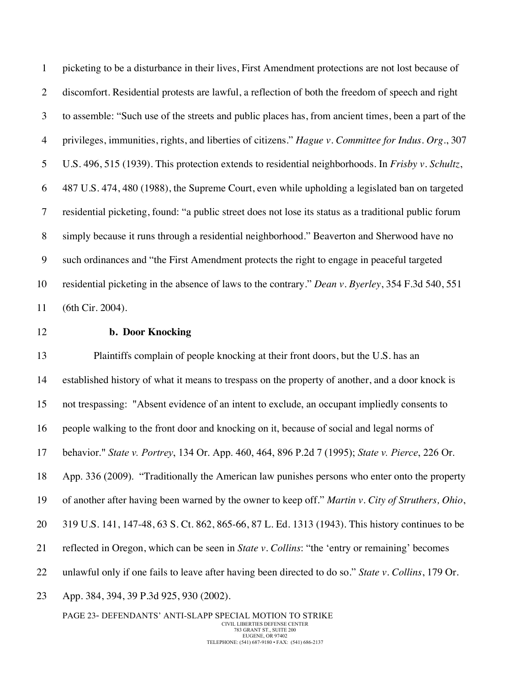picketing to be a disturbance in their lives, First Amendment protections are not lost because of discomfort. Residential protests are lawful, a reflection of both the freedom of speech and right to assemble: "Such use of the streets and public places has, from ancient times, been a part of the privileges, immunities, rights, and liberties of citizens." *Hague v. Committee for Indus. Org*., 307 U.S. 496, 515 (1939). This protection extends to residential neighborhoods. In *Frisby v. Schultz*, 487 U.S. 474, 480 (1988), the Supreme Court, even while upholding a legislated ban on targeted residential picketing, found: "a public street does not lose its status as a traditional public forum simply because it runs through a residential neighborhood." Beaverton and Sherwood have no such ordinances and "the First Amendment protects the right to engage in peaceful targeted residential picketing in the absence of laws to the contrary." *Dean v. Byerley*, 354 F.3d 540, 551 (6th Cir. 2004).

## **b. Door Knocking**

 Plaintiffs complain of people knocking at their front doors, but the U.S. has an established history of what it means to trespass on the property of another, and a door knock is not trespassing: "Absent evidence of an intent to exclude, an occupant impliedly consents to people walking to the front door and knocking on it, because of social and legal norms of behavior." *State v. Portrey*, 134 Or. App. 460, 464, 896 P.2d 7 (1995); *State v. Pierce*, 226 Or. App. 336 (2009). "Traditionally the American law punishes persons who enter onto the property of another after having been warned by the owner to keep off." *Martin v. City of Struthers, Ohio*, 319 U.S. 141, 147-48, 63 S. Ct. 862, 865-66, 87 L. Ed. 1313 (1943). This history continues to be reflected in Oregon, which can be seen in *State v. Collins*: "the 'entry or remaining' becomes unlawful only if one fails to leave after having been directed to do so." *State v. Collins*, 179 Or. App. 384, 394, 39 P.3d 925, 930 (2002).

PAGE 23- DEFENDANTS' ANTI-SLAPP SPECIAL MOTION TO STRIKE CIVIL LIBERTIES DEFENSE CENTER 783 GRANT ST., SUITE 200 EUGENE, OR 97402 TELEPHONE: (541) 687-9180 • FAX: (541) 686-2137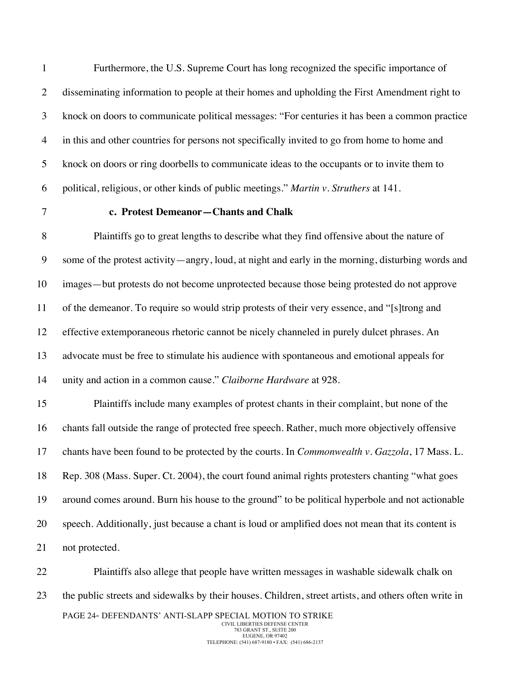Furthermore, the U.S. Supreme Court has long recognized the specific importance of disseminating information to people at their homes and upholding the First Amendment right to knock on doors to communicate political messages: "For centuries it has been a common practice in this and other countries for persons not specifically invited to go from home to home and knock on doors or ring doorbells to communicate ideas to the occupants or to invite them to political, religious, or other kinds of public meetings." *Martin v. Struthers* at 141.

#### **c. Protest Demeanor—Chants and Chalk**

 Plaintiffs go to great lengths to describe what they find offensive about the nature of some of the protest activity—angry, loud, at night and early in the morning, disturbing words and images—but protests do not become unprotected because those being protested do not approve of the demeanor. To require so would strip protests of their very essence, and "[s]trong and effective extemporaneous rhetoric cannot be nicely channeled in purely dulcet phrases. An advocate must be free to stimulate his audience with spontaneous and emotional appeals for unity and action in a common cause." *Claiborne Hardware* at 928.

 Plaintiffs include many examples of protest chants in their complaint, but none of the chants fall outside the range of protected free speech. Rather, much more objectively offensive chants have been found to be protected by the courts. In *Commonwealth v. Gazzola*, 17 Mass. L. Rep. 308 (Mass. Super. Ct. 2004), the court found animal rights protesters chanting "what goes around comes around. Burn his house to the ground" to be political hyperbole and not actionable speech. Additionally, just because a chant is loud or amplified does not mean that its content is not protected.

PAGE 24- DEFENDANTS' ANTI-SLAPP SPECIAL MOTION TO STRIKE CIVIL LIBERTIES DEFENSE CENTER 783 GRANT ST., SUITE 200 EUGENE, OR 97402 Plaintiffs also allege that people have written messages in washable sidewalk chalk on the public streets and sidewalks by their houses. Children, street artists, and others often write in

TELEPHONE: (541) 687-9180 • FAX: (541) 686-2137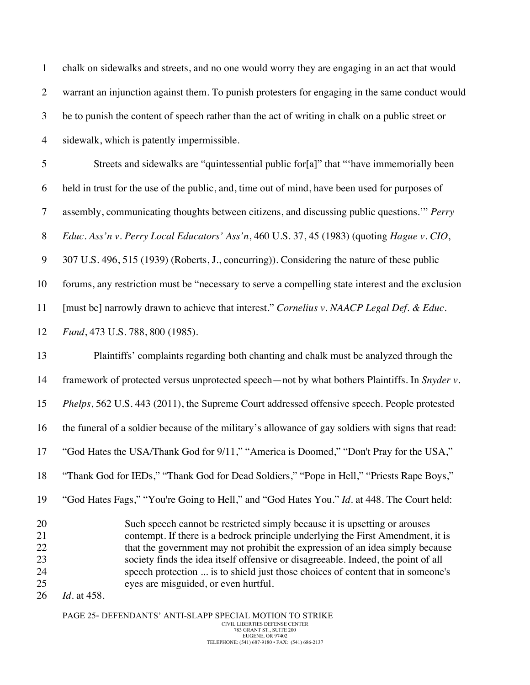| $\mathbf{1}$                           | chalk on sidewalks and streets, and no one would worry they are engaging in an act that would                                                                                                                                                                                                                                                                                                                                                                                        |
|----------------------------------------|--------------------------------------------------------------------------------------------------------------------------------------------------------------------------------------------------------------------------------------------------------------------------------------------------------------------------------------------------------------------------------------------------------------------------------------------------------------------------------------|
| $\overline{2}$                         | warrant an injunction against them. To punish protesters for engaging in the same conduct would                                                                                                                                                                                                                                                                                                                                                                                      |
| 3                                      | be to punish the content of speech rather than the act of writing in chalk on a public street or                                                                                                                                                                                                                                                                                                                                                                                     |
| $\overline{4}$                         | sidewalk, which is patently impermissible.                                                                                                                                                                                                                                                                                                                                                                                                                                           |
| $\mathfrak{S}$                         | Streets and sidewalks are "quintessential public for[a]" that "'have immemorially been                                                                                                                                                                                                                                                                                                                                                                                               |
| 6                                      | held in trust for the use of the public, and, time out of mind, have been used for purposes of                                                                                                                                                                                                                                                                                                                                                                                       |
| $\tau$                                 | assembly, communicating thoughts between citizens, and discussing public questions." Perry                                                                                                                                                                                                                                                                                                                                                                                           |
| $8\phantom{.}$                         | Educ. Ass'n v. Perry Local Educators' Ass'n, 460 U.S. 37, 45 (1983) (quoting Hague v. CIO,                                                                                                                                                                                                                                                                                                                                                                                           |
| $\boldsymbol{9}$                       | 307 U.S. 496, 515 (1939) (Roberts, J., concurring)). Considering the nature of these public                                                                                                                                                                                                                                                                                                                                                                                          |
| 10                                     | forums, any restriction must be "necessary to serve a compelling state interest and the exclusion                                                                                                                                                                                                                                                                                                                                                                                    |
| 11                                     | [must be] narrowly drawn to achieve that interest." Cornelius v. NAACP Legal Def. & Educ.                                                                                                                                                                                                                                                                                                                                                                                            |
| 12                                     | Fund, 473 U.S. 788, 800 (1985).                                                                                                                                                                                                                                                                                                                                                                                                                                                      |
| 13                                     | Plaintiffs' complaints regarding both chanting and chalk must be analyzed through the                                                                                                                                                                                                                                                                                                                                                                                                |
| 14                                     | framework of protected versus unprotected speech—not by what bothers Plaintiffs. In Snyder v.                                                                                                                                                                                                                                                                                                                                                                                        |
| 15                                     | Phelps, 562 U.S. 443 (2011), the Supreme Court addressed offensive speech. People protested                                                                                                                                                                                                                                                                                                                                                                                          |
| 16                                     | the funeral of a soldier because of the military's allowance of gay soldiers with signs that read:                                                                                                                                                                                                                                                                                                                                                                                   |
| 17                                     | "God Hates the USA/Thank God for 9/11," "America is Doomed," "Don't Pray for the USA,"                                                                                                                                                                                                                                                                                                                                                                                               |
| 18                                     | "Thank God for IEDs," "Thank God for Dead Soldiers," "Pope in Hell," "Priests Rape Boys,"                                                                                                                                                                                                                                                                                                                                                                                            |
| 19                                     | "God Hates Fags," "You're Going to Hell," and "God Hates You." <i>Id.</i> at 448. The Court held:                                                                                                                                                                                                                                                                                                                                                                                    |
| 20<br>21<br>22<br>23<br>24<br>25<br>26 | Such speech cannot be restricted simply because it is upsetting or arouses<br>contempt. If there is a bedrock principle underlying the First Amendment, it is<br>that the government may not prohibit the expression of an idea simply because<br>society finds the idea itself offensive or disagreeable. Indeed, the point of all<br>speech protection  is to shield just those choices of content that in someone's<br>eyes are misguided, or even hurtful.<br><i>Id.</i> at 458. |

PAGE 25- DEFENDANTS' ANTI-SLAPP SPECIAL MOTION TO STRIKE CIVIL LIBERTIES DEFENSE CENTER 783 GRANT ST., SUITE 200 EUGENE, OR 97402 TELEPHONE: (541) 687-9180 • FAX: (541) 686-2137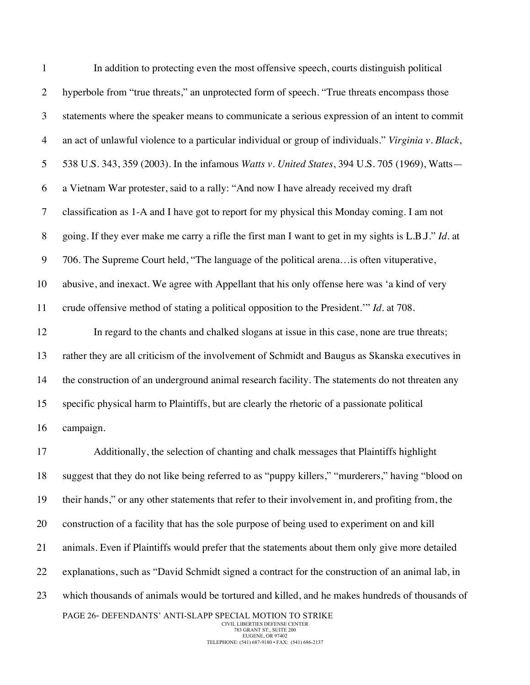| $\mathbf{1}$   | In addition to protecting even the most offensive speech, courts distinguish political               |
|----------------|------------------------------------------------------------------------------------------------------|
| $\overline{2}$ | hyperbole from "true threats," an unprotected form of speech. "True threats encompass those          |
| 3              | statements where the speaker means to communicate a serious expression of an intent to commit        |
| $\overline{4}$ | an act of unlawful violence to a particular individual or group of individuals." Virginia v. Black,  |
| 5              | 538 U.S. 343, 359 (2003). In the infamous Watts v. United States, 394 U.S. 705 (1969), Watts-        |
| 6              | a Vietnam War protester, said to a rally: "And now I have already received my draft                  |
| $\tau$         | classification as 1-A and I have got to report for my physical this Monday coming. I am not          |
| $8\,$          | going. If they ever make me carry a rifle the first man I want to get in my sights is L.B.J." Id. at |
| 9              | 706. The Supreme Court held, "The language of the political arena is often vituperative,             |
| 10             | abusive, and inexact. We agree with Appellant that his only offense here was 'a kind of very         |
| 11             | crude offensive method of stating a political opposition to the President." <i>Id.</i> at 708.       |
| 12             | In regard to the chants and chalked slogans at issue in this case, none are true threats;            |
| 13             | rather they are all criticism of the involvement of Schmidt and Baugus as Skanska executives in      |
| 14             | the construction of an underground animal research facility. The statements do not threaten any      |
| 15             | specific physical harm to Plaintiffs, but are clearly the rhetoric of a passionate political         |
| 16             | campaign.                                                                                            |
| 17             | Additionally, the selection of chanting and chalk messages that Plaintiffs highlight                 |
| 18             | suggest that they do not like being referred to as "puppy killers," "murderers," having "blood on    |
| 19             | their hands," or any other statements that refer to their involvement in, and profiting from, the    |
| 20             | construction of a facility that has the sole purpose of being used to experiment on and kill         |
| 21             | animals. Even if Plaintiffs would prefer that the statements about them only give more detailed      |
| 22             | explanations, such as "David Schmidt signed a contract for the construction of an animal lab, in     |
| 23             | which thousands of animals would be tortured and killed, and he makes hundreds of thousands of       |
|                | PAGE 26- DEFENDANTS' ANTI-SLAPP SPECIAL MOTION TO STRIKE<br>CIVIL LIBERTIES DEFENSE CENTER           |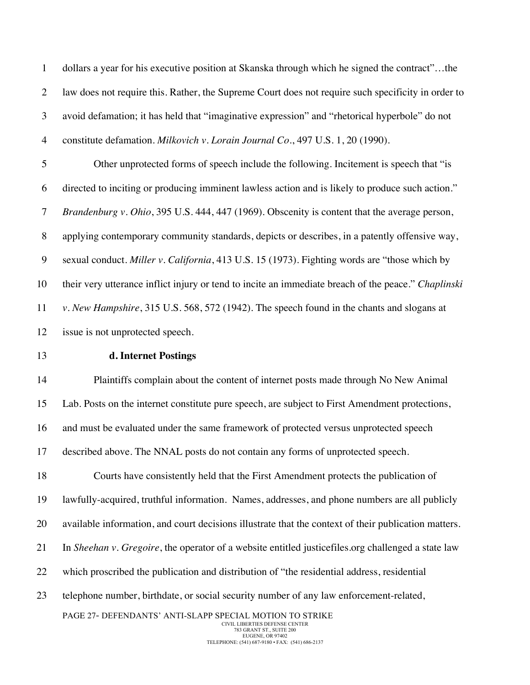dollars a year for his executive position at Skanska through which he signed the contract"…the law does not require this. Rather, the Supreme Court does not require such specificity in order to avoid defamation; it has held that "imaginative expression" and "rhetorical hyperbole" do not constitute defamation. *Milkovich v. Lorain Journal Co*., 497 U.S. 1, 20 (1990).

 Other unprotected forms of speech include the following. Incitement is speech that "is directed to inciting or producing imminent lawless action and is likely to produce such action." *Brandenburg v. Ohio*, 395 U.S. 444, 447 (1969). Obscenity is content that the average person, applying contemporary community standards, depicts or describes, in a patently offensive way, sexual conduct. *Miller v. California*, 413 U.S. 15 (1973). Fighting words are "those which by their very utterance inflict injury or tend to incite an immediate breach of the peace." *Chaplinski v. New Hampshire*, 315 U.S. 568, 572 (1942). The speech found in the chants and slogans at issue is not unprotected speech.

## **d. Internet Postings**

PAGE 27- DEFENDANTS' ANTI-SLAPP SPECIAL MOTION TO STRIKE Plaintiffs complain about the content of internet posts made through No New Animal Lab. Posts on the internet constitute pure speech, are subject to First Amendment protections, and must be evaluated under the same framework of protected versus unprotected speech described above. The NNAL posts do not contain any forms of unprotected speech. Courts have consistently held that the First Amendment protects the publication of lawfully-acquired, truthful information. Names, addresses, and phone numbers are all publicly available information, and court decisions illustrate that the context of their publication matters. In *Sheehan v. Gregoire*, the operator of a website entitled justicefiles.org challenged a state law which proscribed the publication and distribution of "the residential address, residential telephone number, birthdate, or social security number of any law enforcement-related,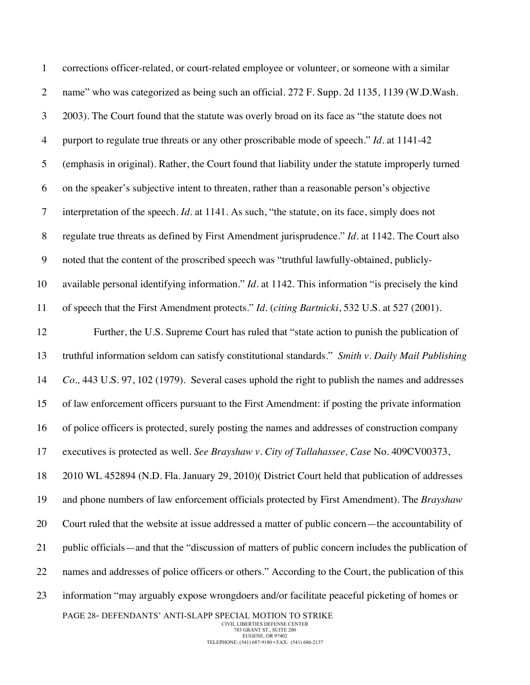| $\mathbf{1}$     | corrections officer-related, or court-related employee or volunteer, or someone with a similar         |
|------------------|--------------------------------------------------------------------------------------------------------|
| $\overline{2}$   | name" who was categorized as being such an official. 272 F. Supp. 2d 1135, 1139 (W.D.Wash.             |
| 3                | 2003). The Court found that the statute was overly broad on its face as "the statute does not          |
| $\overline{4}$   | purport to regulate true threats or any other proscribable mode of speech." Id. at 1141-42             |
| 5                | (emphasis in original). Rather, the Court found that liability under the statute improperly turned     |
| 6                | on the speaker's subjective intent to threaten, rather than a reasonable person's objective            |
| $\overline{7}$   | interpretation of the speech. <i>Id</i> . at 1141. As such, "the statute, on its face, simply does not |
| $8\,$            | regulate true threats as defined by First Amendment jurisprudence." Id. at 1142. The Court also        |
| $\boldsymbol{9}$ | noted that the content of the proscribed speech was "truthful lawfully-obtained, publicly-             |
| 10               | available personal identifying information." $Id$ . at 1142. This information "is precisely the kind   |
| 11               | of speech that the First Amendment protects." Id. (citing Bartnicki, 532 U.S. at 527 (2001).           |
| 12               | Further, the U.S. Supreme Court has ruled that "state action to punish the publication of              |
| 13               | truthful information seldom can satisfy constitutional standards." Smith v. Daily Mail Publishing      |
| 14               | Co., 443 U.S. 97, 102 (1979). Several cases uphold the right to publish the names and addresses        |
| 15               | of law enforcement officers pursuant to the First Amendment: if posting the private information        |
| 16               | of police officers is protected, surely posting the names and addresses of construction company        |
| 17               | executives is protected as well. See Brayshaw v. City of Tallahassee, Case No. 409CV00373,             |
| 18               | 2010 WL 452894 (N.D. Fla. January 29, 2010) (District Court held that publication of addresses         |
| 19               | and phone numbers of law enforcement officials protected by First Amendment). The Brayshaw             |
| 20               | Court ruled that the website at issue addressed a matter of public concern—the accountability of       |
| 21               | public officials—and that the "discussion of matters of public concern includes the publication of     |
| 22               | names and addresses of police officers or others." According to the Court, the publication of this     |
| 23               | information "may arguably expose wrongdoers and/or facilitate peaceful picketing of homes or           |
|                  | PAGE 28- DEFENDANTS' ANTI-SLAPP SPECIAL MOTION TO STRIKE<br>CIVIL LIBERTIES DEFENSE CENTER             |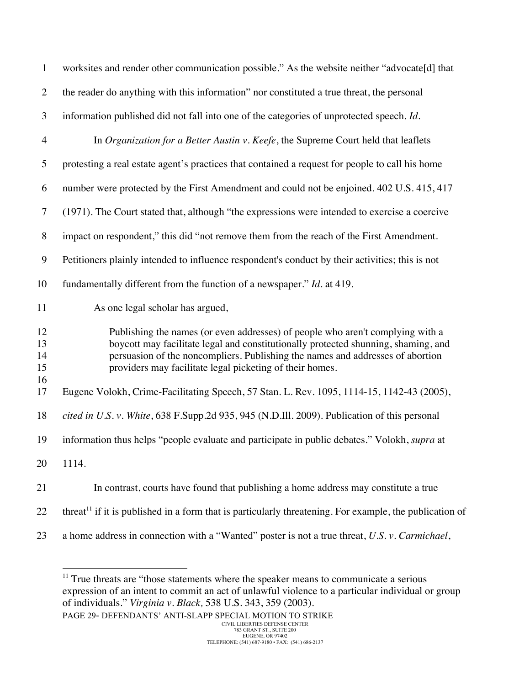| $\mathbf{1}$         | worksites and render other communication possible." As the website neither "advocate[d] that                                                                                                                                                                                                                       |
|----------------------|--------------------------------------------------------------------------------------------------------------------------------------------------------------------------------------------------------------------------------------------------------------------------------------------------------------------|
| $\overline{2}$       | the reader do anything with this information" nor constituted a true threat, the personal                                                                                                                                                                                                                          |
| 3                    | information published did not fall into one of the categories of unprotected speech. Id.                                                                                                                                                                                                                           |
| 4                    | In Organization for a Better Austin v. Keefe, the Supreme Court held that leaflets                                                                                                                                                                                                                                 |
| 5                    | protesting a real estate agent's practices that contained a request for people to call his home                                                                                                                                                                                                                    |
| 6                    | number were protected by the First Amendment and could not be enjoined. 402 U.S. 415, 417                                                                                                                                                                                                                          |
| $\tau$               | (1971). The Court stated that, although "the expressions were intended to exercise a coercive                                                                                                                                                                                                                      |
| $8\,$                | impact on respondent," this did "not remove them from the reach of the First Amendment.                                                                                                                                                                                                                            |
| 9                    | Petitioners plainly intended to influence respondent's conduct by their activities; this is not                                                                                                                                                                                                                    |
| 10                   | fundamentally different from the function of a newspaper." $Id$ . at 419.                                                                                                                                                                                                                                          |
| 11                   | As one legal scholar has argued,                                                                                                                                                                                                                                                                                   |
| 12<br>13<br>14<br>15 | Publishing the names (or even addresses) of people who aren't complying with a<br>boycott may facilitate legal and constitutionally protected shunning, shaming, and<br>persuasion of the noncompliers. Publishing the names and addresses of abortion<br>providers may facilitate legal picketing of their homes. |
| 16<br>17             | Eugene Volokh, Crime-Facilitating Speech, 57 Stan. L. Rev. 1095, 1114-15, 1142-43 (2005),                                                                                                                                                                                                                          |
| 18                   | cited in U.S. v. White, 638 F.Supp.2d 935, 945 (N.D.Ill. 2009). Publication of this personal                                                                                                                                                                                                                       |
| 19                   | information thus helps "people evaluate and participate in public debates." Volokh, <i>supra</i> at                                                                                                                                                                                                                |
| 20                   | 1114.                                                                                                                                                                                                                                                                                                              |
| 21                   | In contrast, courts have found that publishing a home address may constitute a true                                                                                                                                                                                                                                |
| 22                   | threat <sup>11</sup> if it is published in a form that is particularly threatening. For example, the publication of                                                                                                                                                                                                |
| 23                   | a home address in connection with a "Wanted" poster is not a true threat, U.S. v. Carmichael,                                                                                                                                                                                                                      |

PAGE 29- DEFENDANTS' ANTI-SLAPP SPECIAL MOTION TO STRIKE <sup>11</sup> True threats are "those statements where the speaker means to communicate a serious expression of an intent to commit an act of unlawful violence to a particular individual or group of individuals." *Virginia v. Black,* 538 U.S. 343, 359 (2003).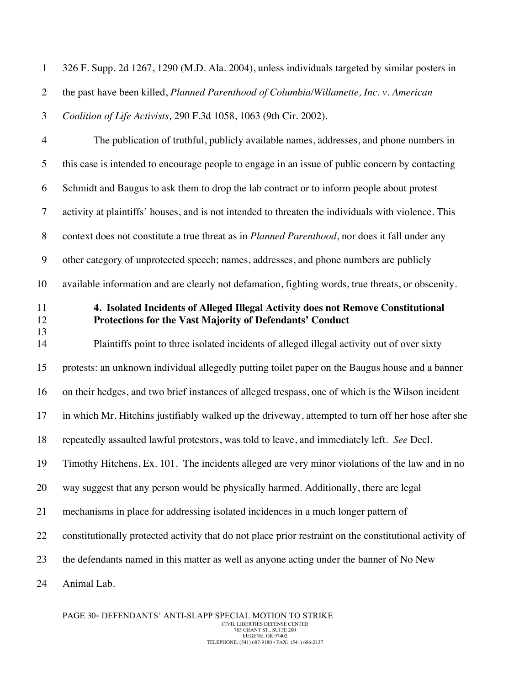| 326 F. Supp. 2d 1267, 1290 (M.D. Ala. 2004), unless individuals targeted by similar posters in |
|------------------------------------------------------------------------------------------------|
| the past have been killed, Planned Parenthood of Columbia/Willamette, Inc. v. American         |
| <i>Coalition of Life Activists, 290 F.3d 1058, 1063 (9th Cir. 2002).</i>                       |

 The publication of truthful, publicly available names, addresses, and phone numbers in this case is intended to encourage people to engage in an issue of public concern by contacting Schmidt and Baugus to ask them to drop the lab contract or to inform people about protest activity at plaintiffs' houses, and is not intended to threaten the individuals with violence. This context does not constitute a true threat as in *Planned Parenthood*, nor does it fall under any other category of unprotected speech; names, addresses, and phone numbers are publicly available information and are clearly not defamation, fighting words, true threats, or obscenity.

## **4. Isolated Incidents of Alleged Illegal Activity does not Remove Constitutional Protections for the Vast Majority of Defendants' Conduct**

 Plaintiffs point to three isolated incidents of alleged illegal activity out of over sixty protests: an unknown individual allegedly putting toilet paper on the Baugus house and a banner on their hedges, and two brief instances of alleged trespass, one of which is the Wilson incident in which Mr. Hitchins justifiably walked up the driveway, attempted to turn off her hose after she repeatedly assaulted lawful protestors, was told to leave, and immediately left. *See* Decl. Timothy Hitchens, Ex. 101. The incidents alleged are very minor violations of the law and in no way suggest that any person would be physically harmed. Additionally, there are legal mechanisms in place for addressing isolated incidences in a much longer pattern of constitutionally protected activity that do not place prior restraint on the constitutional activity of the defendants named in this matter as well as anyone acting under the banner of No New Animal Lab.

PAGE 30- DEFENDANTS' ANTI-SLAPP SPECIAL MOTION TO STRIKE CIVIL LIBERTIES DEFENSE CENTER 783 GRANT ST., SUITE 200 EUGENE, OR 97402 TELEPHONE: (541) 687-9180 • FAX: (541) 686-2137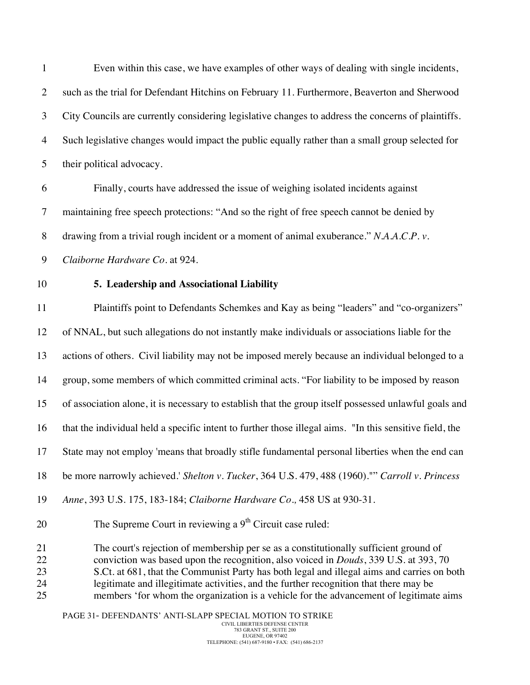Even within this case, we have examples of other ways of dealing with single incidents, such as the trial for Defendant Hitchins on February 11. Furthermore, Beaverton and Sherwood City Councils are currently considering legislative changes to address the concerns of plaintiffs. Such legislative changes would impact the public equally rather than a small group selected for their political advocacy. Finally, courts have addressed the issue of weighing isolated incidents against maintaining free speech protections: "And so the right of free speech cannot be denied by drawing from a trivial rough incident or a moment of animal exuberance." *N.A.A.C.P. v. Claiborne Hardware Co*. at 924. **5. Leadership and Associational Liability** Plaintiffs point to Defendants Schemkes and Kay as being "leaders" and "co-organizers" of NNAL, but such allegations do not instantly make individuals or associations liable for the actions of others. Civil liability may not be imposed merely because an individual belonged to a group, some members of which committed criminal acts. "For liability to be imposed by reason of association alone, it is necessary to establish that the group itself possessed unlawful goals and that the individual held a specific intent to further those illegal aims. "In this sensitive field, the State may not employ 'means that broadly stifle fundamental personal liberties when the end can be more narrowly achieved.' *Shelton v. Tucker*, 364 U.S. 479, 488 (1960)."" *Carroll v. Princess Anne*, 393 U.S. 175, 183-184; *Claiborne Hardware Co.,* 458 US at 930-31. 20 The Supreme Court in reviewing a  $9<sup>th</sup>$  Circuit case ruled: The court's rejection of membership per se as a constitutionally sufficient ground of conviction was based upon the recognition, also voiced in *Douds*, 339 U.S. at 393, 70 23 S.Ct. at 681, that the Communist Party has both legal and illegal aims and carries on both legitimate and illegitimate activities, and the further recognition that there may be members 'for whom the organization is a vehicle for the advancement of legitimate aims

PAGE 31- DEFENDANTS' ANTI-SLAPP SPECIAL MOTION TO STRIKE CIVIL LIBERTIES DEFENSE CENTER 783 GRANT ST., SUITE 200 EUGENE, OR 97402 TELEPHONE: (541) 687-9180 • FAX: (541) 686-2137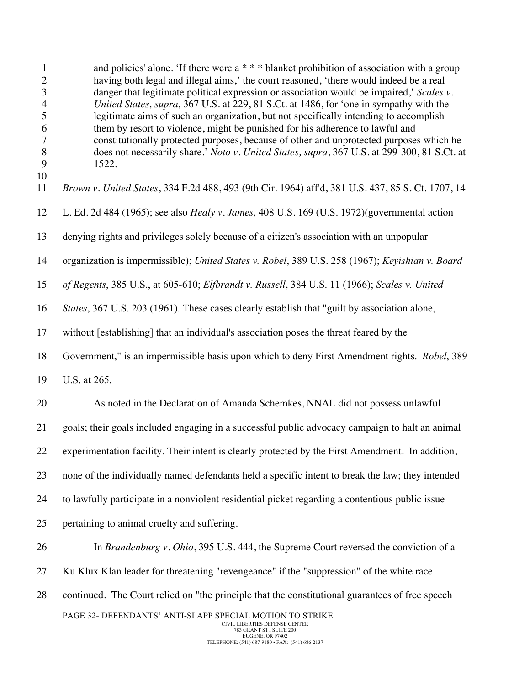| $\mathbf{1}$<br>$\mathbf{2}$<br>3<br>$\overline{4}$<br>5<br>6<br>$\overline{7}$<br>8<br>9 | and policies' alone. 'If there were $a$ * * * blanket prohibition of association with a group<br>having both legal and illegal aims,' the court reasoned, 'there would indeed be a real<br>danger that legitimate political expression or association would be impaired,' Scales v.<br>United States, supra, 367 U.S. at 229, 81 S.Ct. at 1486, for 'one in sympathy with the<br>legitimate aims of such an organization, but not specifically intending to accomplish<br>them by resort to violence, might be punished for his adherence to lawful and<br>constitutionally protected purposes, because of other and unprotected purposes which he<br>does not necessarily share.' Noto v. United States, supra, 367 U.S. at 299-300, 81 S.Ct. at<br>1522. |
|-------------------------------------------------------------------------------------------|------------------------------------------------------------------------------------------------------------------------------------------------------------------------------------------------------------------------------------------------------------------------------------------------------------------------------------------------------------------------------------------------------------------------------------------------------------------------------------------------------------------------------------------------------------------------------------------------------------------------------------------------------------------------------------------------------------------------------------------------------------|
| 10<br>11                                                                                  | Brown v. United States, 334 F.2d 488, 493 (9th Cir. 1964) aff'd, 381 U.S. 437, 85 S. Ct. 1707, 14                                                                                                                                                                                                                                                                                                                                                                                                                                                                                                                                                                                                                                                          |
| 12                                                                                        | L. Ed. 2d 484 (1965); see also <i>Healy v. James</i> , 408 U.S. 169 (U.S. 1972)(governmental action                                                                                                                                                                                                                                                                                                                                                                                                                                                                                                                                                                                                                                                        |
| 13                                                                                        | denying rights and privileges solely because of a citizen's association with an unpopular                                                                                                                                                                                                                                                                                                                                                                                                                                                                                                                                                                                                                                                                  |
| 14                                                                                        | organization is impermissible); United States v. Robel, 389 U.S. 258 (1967); Keyishian v. Board                                                                                                                                                                                                                                                                                                                                                                                                                                                                                                                                                                                                                                                            |
| 15                                                                                        | of Regents, 385 U.S., at 605-610; Elfbrandt v. Russell, 384 U.S. 11 (1966); Scales v. United                                                                                                                                                                                                                                                                                                                                                                                                                                                                                                                                                                                                                                                               |
| 16                                                                                        | <i>States</i> , 367 U.S. 203 (1961). These cases clearly establish that "guilt by association alone,                                                                                                                                                                                                                                                                                                                                                                                                                                                                                                                                                                                                                                                       |
| 17                                                                                        | without [establishing] that an individual's association poses the threat feared by the                                                                                                                                                                                                                                                                                                                                                                                                                                                                                                                                                                                                                                                                     |
| 18                                                                                        | Government," is an impermissible basis upon which to deny First Amendment rights. Robel, 389                                                                                                                                                                                                                                                                                                                                                                                                                                                                                                                                                                                                                                                               |
| 19                                                                                        | U.S. at 265.                                                                                                                                                                                                                                                                                                                                                                                                                                                                                                                                                                                                                                                                                                                                               |
| 20                                                                                        | As noted in the Declaration of Amanda Schemkes, NNAL did not possess unlawful                                                                                                                                                                                                                                                                                                                                                                                                                                                                                                                                                                                                                                                                              |
| 21                                                                                        | goals; their goals included engaging in a successful public advocacy campaign to halt an animal                                                                                                                                                                                                                                                                                                                                                                                                                                                                                                                                                                                                                                                            |
| 22                                                                                        | experimentation facility. Their intent is clearly protected by the First Amendment. In addition,                                                                                                                                                                                                                                                                                                                                                                                                                                                                                                                                                                                                                                                           |
| 23                                                                                        | none of the individually named defendants held a specific intent to break the law; they intended                                                                                                                                                                                                                                                                                                                                                                                                                                                                                                                                                                                                                                                           |
| 24                                                                                        | to lawfully participate in a nonviolent residential picket regarding a contentious public issue                                                                                                                                                                                                                                                                                                                                                                                                                                                                                                                                                                                                                                                            |
| 25                                                                                        | pertaining to animal cruelty and suffering.                                                                                                                                                                                                                                                                                                                                                                                                                                                                                                                                                                                                                                                                                                                |
| 26                                                                                        | In Brandenburg v. Ohio, 395 U.S. 444, the Supreme Court reversed the conviction of a                                                                                                                                                                                                                                                                                                                                                                                                                                                                                                                                                                                                                                                                       |
| 27                                                                                        | Ku Klux Klan leader for threatening "revengeance" if the "suppression" of the white race                                                                                                                                                                                                                                                                                                                                                                                                                                                                                                                                                                                                                                                                   |
| 28                                                                                        | continued. The Court relied on "the principle that the constitutional guarantees of free speech                                                                                                                                                                                                                                                                                                                                                                                                                                                                                                                                                                                                                                                            |
|                                                                                           | PAGE 32- DEFENDANTS' ANTI-SLAPP SPECIAL MOTION TO STRIKE<br>CIVIL LIBERTIES DEFENSE CENTER                                                                                                                                                                                                                                                                                                                                                                                                                                                                                                                                                                                                                                                                 |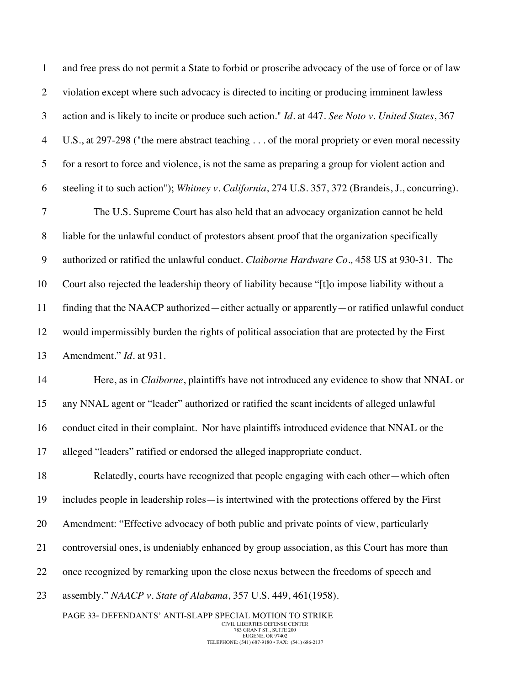| $\mathbf{1}$   | and free press do not permit a State to forbid or proscribe advocacy of the use of force or of law |
|----------------|----------------------------------------------------------------------------------------------------|
| $\overline{2}$ | violation except where such advocacy is directed to inciting or producing imminent lawless         |
| 3              | action and is likely to incite or produce such action." Id. at 447. See Noto v. United States, 367 |
| $\overline{4}$ | U.S., at 297-298 ("the mere abstract teaching of the moral propriety or even moral necessity       |
| 5              | for a resort to force and violence, is not the same as preparing a group for violent action and    |
| 6              | steeling it to such action"); Whitney v. California, 274 U.S. 357, 372 (Brandeis, J., concurring). |
| $\tau$         | The U.S. Supreme Court has also held that an advocacy organization cannot be held                  |
| 8              | liable for the unlawful conduct of protestors absent proof that the organization specifically      |
| 9              | authorized or ratified the unlawful conduct. Claiborne Hardware Co., 458 US at 930-31. The         |
| 10             | Court also rejected the leadership theory of liability because "[t]o impose liability without a    |
| 11             | finding that the NAACP authorized—either actually or apparently—or ratified unlawful conduct       |
| 12             | would impermissibly burden the rights of political association that are protected by the First     |
| 13             | Amendment." Id. at 931.                                                                            |
| 14             | Here, as in Claiborne, plaintiffs have not introduced any evidence to show that NNAL or            |
| 15             | any NNAL agent or "leader" authorized or ratified the scant incidents of alleged unlawful          |
| 16             | conduct cited in their complaint. Nor have plaintiffs introduced evidence that NNAL or the         |
| 17             | alleged "leaders" ratified or endorsed the alleged inappropriate conduct.                          |
| 18             | Relatedly, courts have recognized that people engaging with each other—which often                 |
| 19             | includes people in leadership roles—is intertwined with the protections offered by the First       |
| 20             | Amendment: "Effective advocacy of both public and private points of view, particularly             |
| 21             | controversial ones, is undeniably enhanced by group association, as this Court has more than       |
| 22             | once recognized by remarking upon the close nexus between the freedoms of speech and               |
| 23             | assembly." NAACP v. State of Alabama, 357 U.S. 449, 461(1958).                                     |
|                | PAGE 33- DEFENDANTS' ANTI-SLAPP SPECIAL MOTION TO STRIKE<br>CIVIL LIBERTIES DEFENSE CENTER         |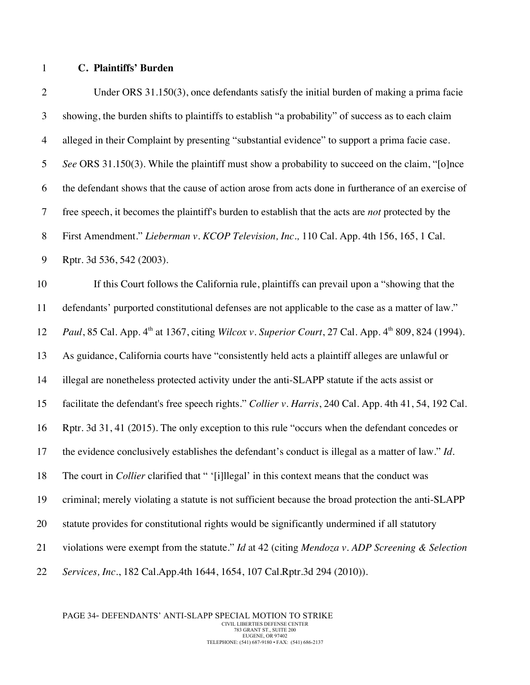#### **C. Plaintiffs' Burden**

 Under ORS 31.150(3), once defendants satisfy the initial burden of making a prima facie showing, the burden shifts to plaintiffs to establish "a probability" of success as to each claim alleged in their Complaint by presenting "substantial evidence" to support a prima facie case. *See* ORS 31.150(3). While the plaintiff must show a probability to succeed on the claim, "[o]nce the defendant shows that the cause of action arose from acts done in furtherance of an exercise of free speech, it becomes the plaintiff's burden to establish that the acts are *not* protected by the First Amendment." *Lieberman v. KCOP Television, Inc.,* 110 Cal. App. 4th 156, 165, 1 Cal. Rptr. 3d 536, 542 (2003). If this Court follows the California rule, plaintiffs can prevail upon a "showing that the defendants' purported constitutional defenses are not applicable to the case as a matter of law." *Paul*, 85 Cal. App. 4<sup>th</sup> at 1367, citing *Wilcox v. Superior Court*, 27 Cal. App. 4<sup>th</sup> 809, 824 (1994). As guidance, California courts have "consistently held acts a plaintiff alleges are unlawful or illegal are nonetheless protected activity under the anti-SLAPP statute if the acts assist or facilitate the defendant's free speech rights." *Collier v. Harris*, 240 Cal. App. 4th 41, 54, 192 Cal. Rptr. 3d 31, 41 (2015). The only exception to this rule "occurs when the defendant concedes or the evidence conclusively establishes the defendant's conduct is illegal as a matter of law." *Id.* The court in *Collier* clarified that " '[i]llegal' in this context means that the conduct was criminal; merely violating a statute is not sufficient because the broad protection the anti-SLAPP statute provides for constitutional rights would be significantly undermined if all statutory violations were exempt from the statute." *Id* at 42 (citing *Mendoza v. ADP Screening & Selection Services, Inc.*, 182 Cal.App.4th 1644, 1654, 107 Cal.Rptr.3d 294 (2010)).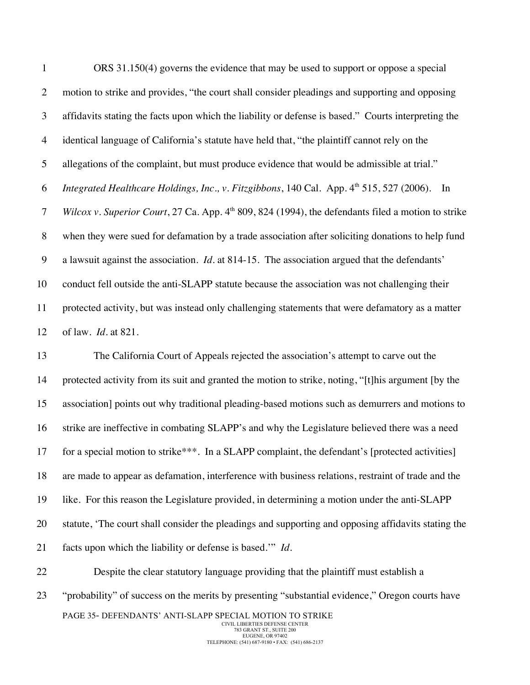ORS 31.150(4) governs the evidence that may be used to support or oppose a special motion to strike and provides, "the court shall consider pleadings and supporting and opposing affidavits stating the facts upon which the liability or defense is based." Courts interpreting the identical language of California's statute have held that, "the plaintiff cannot rely on the allegations of the complaint, but must produce evidence that would be admissible at trial." *Integrated Healthcare Holdings, Inc., v. Fitzgibbons, 140 Cal. App. 4<sup>th</sup> 515, 527 (2006). In Wilcox v. Superior Court, 27 Ca. App.* 4<sup>th</sup> 809, 824 (1994), the defendants filed a motion to strike when they were sued for defamation by a trade association after soliciting donations to help fund a lawsuit against the association. *Id*. at 814-15. The association argued that the defendants' conduct fell outside the anti-SLAPP statute because the association was not challenging their protected activity, but was instead only challenging statements that were defamatory as a matter of law. *Id*. at 821.

 The California Court of Appeals rejected the association's attempt to carve out the protected activity from its suit and granted the motion to strike, noting, "[t]his argument [by the association] points out why traditional pleading-based motions such as demurrers and motions to strike are ineffective in combating SLAPP's and why the Legislature believed there was a need 17 for a special motion to strike\*\*\*. In a SLAPP complaint, the defendant's [protected activities] are made to appear as defamation, interference with business relations, restraint of trade and the like. For this reason the Legislature provided, in determining a motion under the anti-SLAPP statute, 'The court shall consider the pleadings and supporting and opposing affidavits stating the facts upon which the liability or defense is based.'" *Id*.

PAGE 35- DEFENDANTS' ANTI-SLAPP SPECIAL MOTION TO STRIKE CIVIL LIBERTIES DEFENSE CENTER 783 GRANT ST., SUITE 200 EUGENE, OR 97402 "probability" of success on the merits by presenting "substantial evidence," Oregon courts have

Despite the clear statutory language providing that the plaintiff must establish a

TELEPHONE: (541) 687-9180 • FAX: (541) 686-2137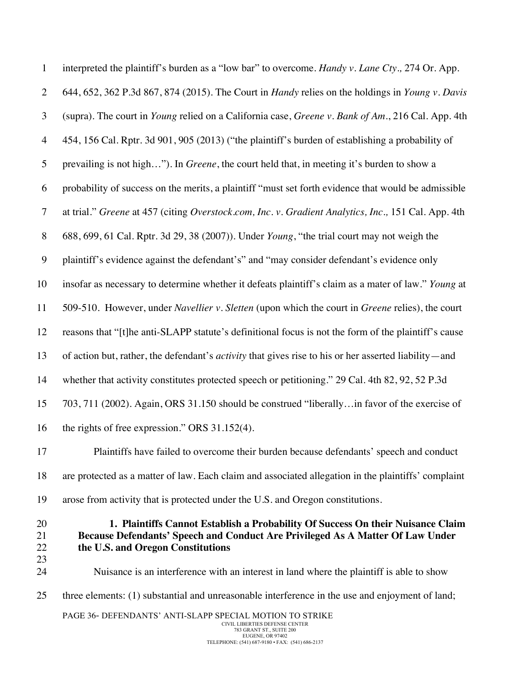| $\mathbf{1}$         | interpreted the plaintiff's burden as a "low bar" to overcome. Handy v. Lane Cty., 274 Or. App.                                                                                                        |
|----------------------|--------------------------------------------------------------------------------------------------------------------------------------------------------------------------------------------------------|
| $\overline{2}$       | 644, 652, 362 P.3d 867, 874 (2015). The Court in <i>Handy</i> relies on the holdings in <i>Young v. Davis</i>                                                                                          |
| 3                    | (supra). The court in Young relied on a California case, Greene v. Bank of Am., 216 Cal. App. 4th                                                                                                      |
| $\overline{4}$       | 454, 156 Cal. Rptr. 3d 901, 905 (2013) ("the plaintiff's burden of establishing a probability of                                                                                                       |
| 5                    | prevailing is not high"). In <i>Greene</i> , the court held that, in meeting it's burden to show a                                                                                                     |
| 6                    | probability of success on the merits, a plaintiff "must set forth evidence that would be admissible                                                                                                    |
| $\tau$               | at trial." Greene at 457 (citing Overstock.com, Inc. v. Gradient Analytics, Inc., 151 Cal. App. 4th                                                                                                    |
| $\, 8$               | 688, 699, 61 Cal. Rptr. 3d 29, 38 (2007)). Under Young, "the trial court may not weigh the                                                                                                             |
| $\boldsymbol{9}$     | plaintiff's evidence against the defendant's" and "may consider defendant's evidence only                                                                                                              |
| 10                   | insofar as necessary to determine whether it defeats plaintiff's claim as a mater of law." Young at                                                                                                    |
| 11                   | 509-510. However, under Navellier v. Sletten (upon which the court in Greene relies), the court                                                                                                        |
| 12                   | reasons that "[t]he anti-SLAPP statute's definitional focus is not the form of the plaintiff's cause                                                                                                   |
| 13                   | of action but, rather, the defendant's <i>activity</i> that gives rise to his or her asserted liability—and                                                                                            |
| 14                   | whether that activity constitutes protected speech or petitioning." 29 Cal. 4th 82, 92, 52 P.3d                                                                                                        |
| 15                   | 703, 711 (2002). Again, ORS 31.150 should be construed "liberallyin favor of the exercise of                                                                                                           |
| 16                   | the rights of free expression." ORS 31.152(4).                                                                                                                                                         |
| 17                   | Plaintiffs have failed to overcome their burden because defendants' speech and conduct                                                                                                                 |
| 18                   | are protected as a matter of law. Each claim and associated allegation in the plaintiffs' complaint                                                                                                    |
| 19                   | arose from activity that is protected under the U.S. and Oregon constitutions.                                                                                                                         |
| 20<br>21<br>22<br>23 | 1. Plaintiffs Cannot Establish a Probability Of Success On their Nuisance Claim<br>Because Defendants' Speech and Conduct Are Privileged As A Matter Of Law Under<br>the U.S. and Oregon Constitutions |
| 24                   | Nuisance is an interference with an interest in land where the plaintiff is able to show                                                                                                               |
| 25                   | three elements: (1) substantial and unreasonable interference in the use and enjoyment of land;                                                                                                        |
|                      | PAGE 36- DEFENDANTS' ANTI-SLAPP SPECIAL MOTION TO STRIKE<br>CIVIL LIBERTIES DEFENSE CENTER                                                                                                             |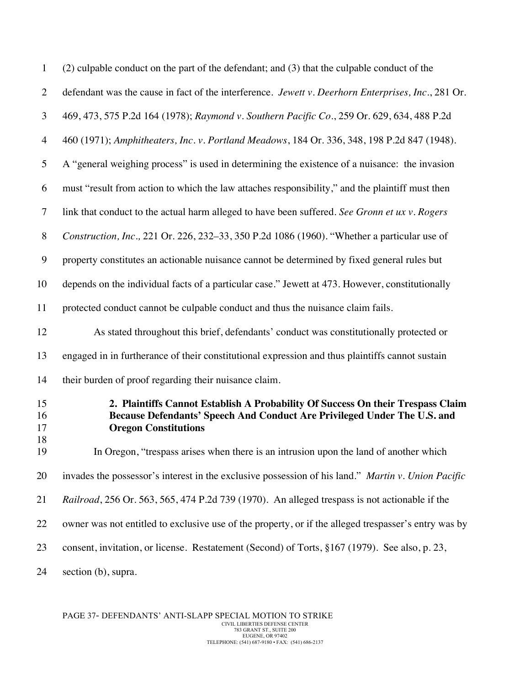| $\mathbf{1}$         | (2) culpable conduct on the part of the defendant; and (3) that the culpable conduct of the                                                                                                |
|----------------------|--------------------------------------------------------------------------------------------------------------------------------------------------------------------------------------------|
| $\overline{2}$       | defendant was the cause in fact of the interference. Jewett v. Deerhorn Enterprises, Inc., 281 Or.                                                                                         |
| 3                    | 469, 473, 575 P.2d 164 (1978); Raymond v. Southern Pacific Co., 259 Or. 629, 634, 488 P.2d                                                                                                 |
| $\overline{4}$       | 460 (1971); Amphitheaters, Inc. v. Portland Meadows, 184 Or. 336, 348, 198 P.2d 847 (1948).                                                                                                |
| 5                    | A "general weighing process" is used in determining the existence of a nuisance: the invasion                                                                                              |
| 6                    | must "result from action to which the law attaches responsibility," and the plaintiff must then                                                                                            |
| $\overline{7}$       | link that conduct to the actual harm alleged to have been suffered. See Gronn et ux v. Rogers                                                                                              |
| 8                    | Construction, Inc., 221 Or. 226, 232-33, 350 P.2d 1086 (1960). "Whether a particular use of                                                                                                |
| $\boldsymbol{9}$     | property constitutes an actionable nuisance cannot be determined by fixed general rules but                                                                                                |
| 10                   | depends on the individual facts of a particular case." Jewett at 473. However, constitutionally                                                                                            |
| 11                   | protected conduct cannot be culpable conduct and thus the nuisance claim fails.                                                                                                            |
| 12                   | As stated throughout this brief, defendants' conduct was constitutionally protected or                                                                                                     |
| 13                   | engaged in in furtherance of their constitutional expression and thus plaintiffs cannot sustain                                                                                            |
| 14                   | their burden of proof regarding their nuisance claim.                                                                                                                                      |
| 15<br>16<br>17<br>18 | 2. Plaintiffs Cannot Establish A Probability Of Success On their Trespass Claim<br>Because Defendants' Speech And Conduct Are Privileged Under The U.S. and<br><b>Oregon Constitutions</b> |
| 19                   | In Oregon, "trespass arises when there is an intrusion upon the land of another which                                                                                                      |
| 20                   | invades the possessor's interest in the exclusive possession of his land." Martin v. Union Pacific                                                                                         |
| 21                   | Railroad, 256 Or. 563, 565, 474 P.2d 739 (1970). An alleged trespass is not actionable if the                                                                                              |
| 22                   | owner was not entitled to exclusive use of the property, or if the alleged trespasser's entry was by                                                                                       |
| 23                   | consent, invitation, or license. Restatement (Second) of Torts, §167 (1979). See also, p. 23,                                                                                              |
| 24                   | section (b), supra.                                                                                                                                                                        |

PAGE 37- DEFENDANTS' ANTI-SLAPP SPECIAL MOTION TO STRIKE CIVIL LIBERTIES DEFENSE CENTER 783 GRANT ST., SUITE 200 EUGENE, OR 97402 TELEPHONE: (541) 687-9180 • FAX: (541) 686-2137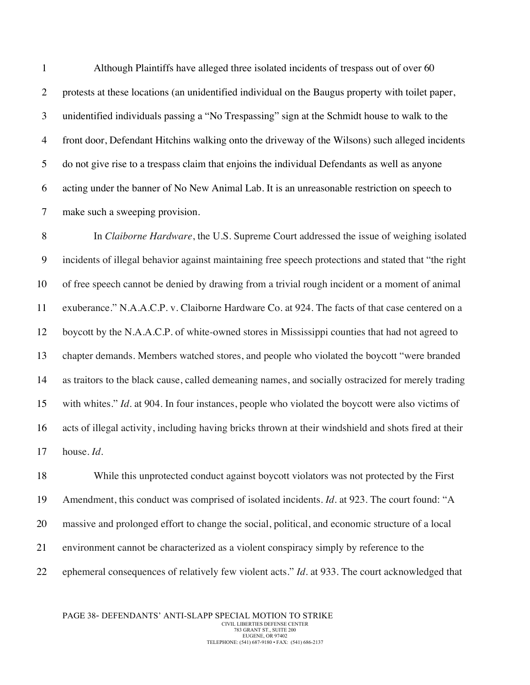Although Plaintiffs have alleged three isolated incidents of trespass out of over 60 protests at these locations (an unidentified individual on the Baugus property with toilet paper, unidentified individuals passing a "No Trespassing" sign at the Schmidt house to walk to the front door, Defendant Hitchins walking onto the driveway of the Wilsons) such alleged incidents do not give rise to a trespass claim that enjoins the individual Defendants as well as anyone acting under the banner of No New Animal Lab. It is an unreasonable restriction on speech to make such a sweeping provision.

 In *Claiborne Hardware*, the U.S. Supreme Court addressed the issue of weighing isolated incidents of illegal behavior against maintaining free speech protections and stated that "the right of free speech cannot be denied by drawing from a trivial rough incident or a moment of animal exuberance." N.A.A.C.P. v. Claiborne Hardware Co. at 924. The facts of that case centered on a boycott by the N.A.A.C.P. of white-owned stores in Mississippi counties that had not agreed to chapter demands. Members watched stores, and people who violated the boycott "were branded as traitors to the black cause, called demeaning names, and socially ostracized for merely trading with whites." *Id.* at 904. In four instances, people who violated the boycott were also victims of acts of illegal activity, including having bricks thrown at their windshield and shots fired at their house. *Id.*

 While this unprotected conduct against boycott violators was not protected by the First Amendment, this conduct was comprised of isolated incidents. *Id.* at 923. The court found: "A massive and prolonged effort to change the social, political, and economic structure of a local environment cannot be characterized as a violent conspiracy simply by reference to the ephemeral consequences of relatively few violent acts." *Id*. at 933. The court acknowledged that

PAGE 38- DEFENDANTS' ANTI-SLAPP SPECIAL MOTION TO STRIKE CIVIL LIBERTIES DEFENSE CENTER 783 GRANT ST., SUITE 200 EUGENE, OR 97402 TELEPHONE: (541) 687-9180 • FAX: (541) 686-2137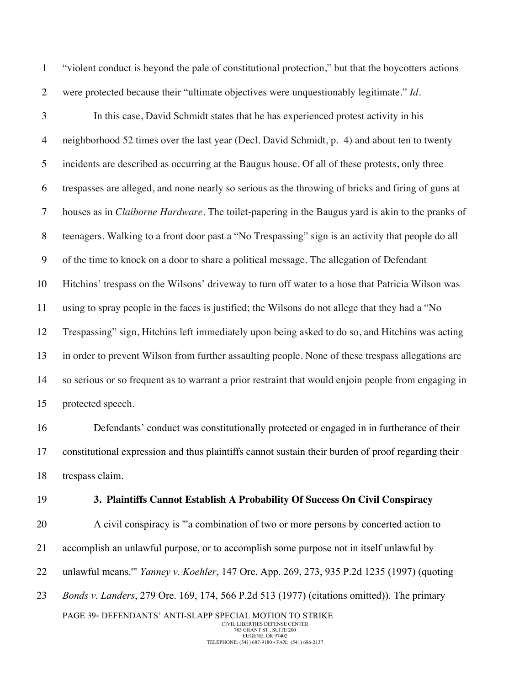"violent conduct is beyond the pale of constitutional protection," but that the boycotters actions were protected because their "ultimate objectives were unquestionably legitimate." *Id.*

 In this case, David Schmidt states that he has experienced protest activity in his neighborhood 52 times over the last year (Decl. David Schmidt, p. 4) and about ten to twenty incidents are described as occurring at the Baugus house. Of all of these protests, only three trespasses are alleged, and none nearly so serious as the throwing of bricks and firing of guns at houses as in *Claiborne Hardware.* The toilet-papering in the Baugus yard is akin to the pranks of teenagers. Walking to a front door past a "No Trespassing" sign is an activity that people do all of the time to knock on a door to share a political message. The allegation of Defendant Hitchins' trespass on the Wilsons' driveway to turn off water to a hose that Patricia Wilson was using to spray people in the faces is justified; the Wilsons do not allege that they had a "No Trespassing" sign, Hitchins left immediately upon being asked to do so, and Hitchins was acting in order to prevent Wilson from further assaulting people. None of these trespass allegations are so serious or so frequent as to warrant a prior restraint that would enjoin people from engaging in protected speech.

 Defendants' conduct was constitutionally protected or engaged in in furtherance of their constitutional expression and thus plaintiffs cannot sustain their burden of proof regarding their trespass claim.

#### **3. Plaintiffs Cannot Establish A Probability Of Success On Civil Conspiracy**

PAGE 39- DEFENDANTS' ANTI-SLAPP SPECIAL MOTION TO STRIKE A civil conspiracy is "'a combination of two or more persons by concerted action to accomplish an unlawful purpose, or to accomplish some purpose not in itself unlawful by unlawful means.'" *Yanney v. Koehler*, 147 Ore. App. 269, 273, 935 P.2d 1235 (1997) (quoting *Bonds v. Landers*, 279 Ore. 169, 174, 566 P.2d 513 (1977) (citations omitted)). The primary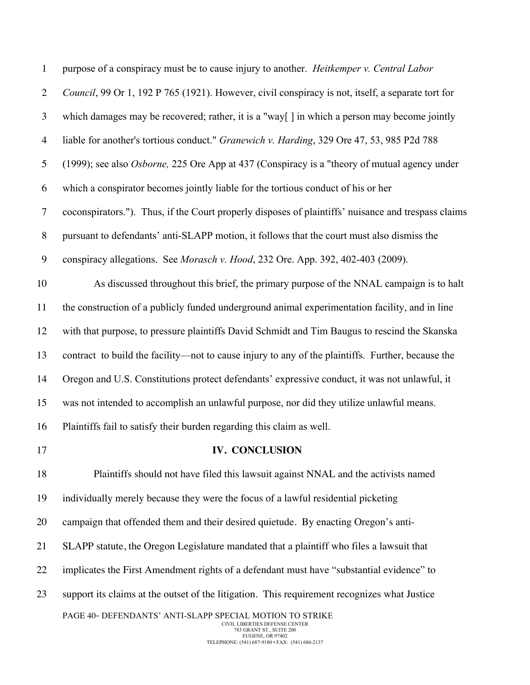| $\mathbf{1}$     | purpose of a conspiracy must be to cause injury to another. Heitkemper v. Central Labor                                                                                                       |
|------------------|-----------------------------------------------------------------------------------------------------------------------------------------------------------------------------------------------|
| $\overline{2}$   | Council, 99 Or 1, 192 P 765 (1921). However, civil conspiracy is not, itself, a separate tort for                                                                                             |
| $\mathfrak{Z}$   | which damages may be recovered; rather, it is a "way[] in which a person may become jointly                                                                                                   |
| $\overline{4}$   | liable for another's tortious conduct." Granewich v. Harding, 329 Ore 47, 53, 985 P2d 788                                                                                                     |
| $\mathfrak{S}$   | (1999); see also Osborne, 225 Ore App at 437 (Conspiracy is a "theory of mutual agency under                                                                                                  |
| 6                | which a conspirator becomes jointly liable for the tortious conduct of his or her                                                                                                             |
| $\tau$           | coconspirators."). Thus, if the Court properly disposes of plaintiffs' nuisance and trespass claims                                                                                           |
| $\, 8$           | pursuant to defendants' anti-SLAPP motion, it follows that the court must also dismiss the                                                                                                    |
| $\boldsymbol{9}$ | conspiracy allegations. See Morasch v. Hood, 232 Ore. App. 392, 402-403 (2009).                                                                                                               |
| 10               | As discussed throughout this brief, the primary purpose of the NNAL campaign is to halt                                                                                                       |
| 11               | the construction of a publicly funded underground animal experimentation facility, and in line                                                                                                |
| 12               | with that purpose, to pressure plaintiffs David Schmidt and Tim Baugus to rescind the Skanska                                                                                                 |
| 13               | contract to build the facility—not to cause injury to any of the plaintiffs. Further, because the                                                                                             |
| 14               | Oregon and U.S. Constitutions protect defendants' expressive conduct, it was not unlawful, it                                                                                                 |
| 15               | was not intended to accomplish an unlawful purpose, nor did they utilize unlawful means.                                                                                                      |
| 16               | Plaintiffs fail to satisfy their burden regarding this claim as well.                                                                                                                         |
| 17               | <b>IV. CONCLUSION</b>                                                                                                                                                                         |
| 18               | Plaintiffs should not have filed this lawsuit against NNAL and the activists named                                                                                                            |
| 19               | individually merely because they were the focus of a lawful residential picketing                                                                                                             |
| 20               | campaign that offended them and their desired quietude. By enacting Oregon's anti-                                                                                                            |
| 21               | SLAPP statute, the Oregon Legislature mandated that a plaintiff who files a lawsuit that                                                                                                      |
| 22               | implicates the First Amendment rights of a defendant must have "substantial evidence" to                                                                                                      |
| 23               | support its claims at the outset of the litigation. This requirement recognizes what Justice                                                                                                  |
|                  | PAGE 40- DEFENDANTS' ANTI-SLAPP SPECIAL MOTION TO STRIKE<br>CIVIL LIBERTIES DEFENSE CENTER<br>783 GRANT ST., SUITE 200<br>EUGENE, OR 97402<br>TELEPHONE: (541) 687-9180 • FAX: (541) 686-2137 |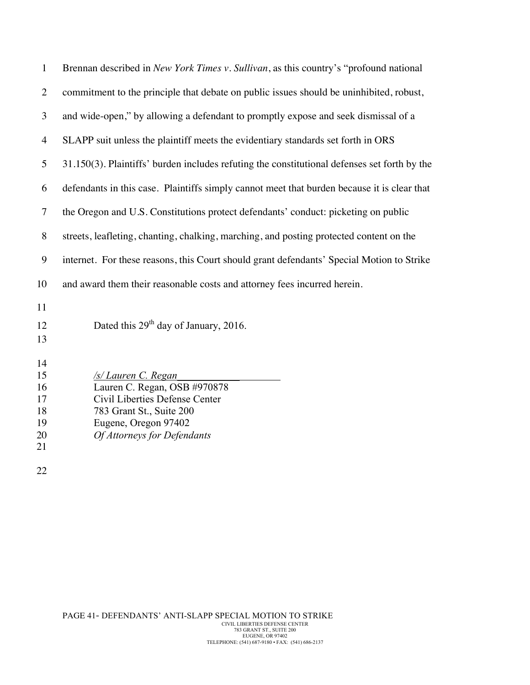| $\mathbf{1}$                                 | Brennan described in New York Times v. Sullivan, as this country's "profound national                                                                                    |
|----------------------------------------------|--------------------------------------------------------------------------------------------------------------------------------------------------------------------------|
| $\overline{2}$                               | commitment to the principle that debate on public issues should be uninhibited, robust,                                                                                  |
| 3                                            | and wide-open," by allowing a defendant to promptly expose and seek dismissal of a                                                                                       |
| $\overline{4}$                               | SLAPP suit unless the plaintiff meets the evidentiary standards set forth in ORS                                                                                         |
| 5                                            | 31.150(3). Plaintiffs' burden includes refuting the constitutional defenses set forth by the                                                                             |
| 6                                            | defendants in this case. Plaintiffs simply cannot meet that burden because it is clear that                                                                              |
| $\overline{7}$                               | the Oregon and U.S. Constitutions protect defendants' conduct: picketing on public                                                                                       |
| 8                                            | streets, leafleting, chanting, chalking, marching, and posting protected content on the                                                                                  |
| 9                                            | internet. For these reasons, this Court should grant defendants' Special Motion to Strike                                                                                |
| 10                                           | and award them their reasonable costs and attorney fees incurred herein.                                                                                                 |
| 11<br>12<br>13                               | Dated this $29th$ day of January, 2016.                                                                                                                                  |
| 14<br>15<br>16<br>17<br>18<br>19<br>20<br>21 | /s/ Lauren C. Regan<br>Lauren C. Regan, OSB #970878<br>Civil Liberties Defense Center<br>783 Grant St., Suite 200<br>Eugene, Oregon 97402<br>Of Attorneys for Defendants |
| 22                                           |                                                                                                                                                                          |